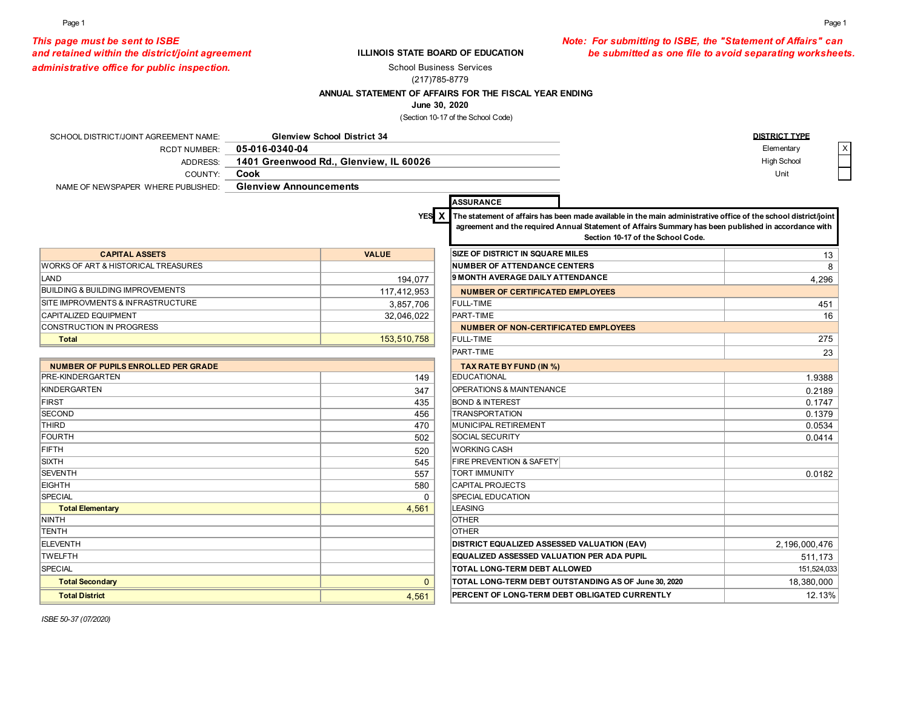### *This page must be sent to ISBE Note: For submitting to ISBE, the "Statement of Affairs" can*  and retained within the district/joint agreement **be submitted as one file to avoid separating worksheets.**

*administrative office for public inspection.* 

### **ILLINOIS STATE BOARD OF EDUCATION**

School Business Services

### (217)785-8779

### **ANNUAL STATEMENT OF AFFAIRS FOR THE FISCAL YEAR ENDING**

### **June 30, 2020**

(Section 10-17 of the School Code)

| SCHOOL DISTRICT/JOINT AGREEMENT NAME:        |                               | <b>Glenview School District 34</b>     |                                                   |                                                                                                                                                                                                                                                                         | <b>DISTRICT TYPE</b> |
|----------------------------------------------|-------------------------------|----------------------------------------|---------------------------------------------------|-------------------------------------------------------------------------------------------------------------------------------------------------------------------------------------------------------------------------------------------------------------------------|----------------------|
| <b>RCDT NUMBER:</b>                          | 05-016-0340-04                |                                        |                                                   |                                                                                                                                                                                                                                                                         | Elementary           |
| ADDRESS:                                     |                               | 1401 Greenwood Rd., Glenview, IL 60026 |                                                   |                                                                                                                                                                                                                                                                         | High School          |
| COUNTY:                                      | Cook                          |                                        |                                                   |                                                                                                                                                                                                                                                                         | Unit                 |
| NAME OF NEWSPAPER WHERE PUBLISHED:           | <b>Glenview Announcements</b> |                                        |                                                   |                                                                                                                                                                                                                                                                         |                      |
|                                              |                               |                                        | <b>ASSURANCE</b>                                  |                                                                                                                                                                                                                                                                         |                      |
|                                              |                               |                                        |                                                   |                                                                                                                                                                                                                                                                         |                      |
|                                              |                               |                                        |                                                   | YES $\chi$ The statement of affairs has been made available in the main administrative office of the school district/joint<br>agreement and the required Annual Statement of Affairs Summary has been published in accordance with<br>Section 10-17 of the School Code. |                      |
| <b>CAPITAL ASSETS</b>                        |                               | <b>VALUE</b>                           | <b>SIZE OF DISTRICT IN SQUARE MILES</b>           |                                                                                                                                                                                                                                                                         | 13                   |
| WORKS OF ART & HISTORICAL TREASURES          |                               |                                        | <b>NUMBER OF ATTENDANCE CENTERS</b>               |                                                                                                                                                                                                                                                                         | 8                    |
| LAND                                         |                               | 194,077                                | 9 MONTH AVERAGE DAILY ATTENDANCE                  |                                                                                                                                                                                                                                                                         | 4,296                |
| <b>BUILDING &amp; BUILDING IMPROVEMENTS</b>  |                               | 117,412,953                            | <b>NUMBER OF CERTIFICATED EMPLOYEES</b>           |                                                                                                                                                                                                                                                                         |                      |
| <b>SITE IMPROVMENTS &amp; INFRASTRUCTURE</b> |                               | 3,857,706                              | <b>FULL-TIME</b>                                  |                                                                                                                                                                                                                                                                         | 451                  |
| <b>CAPITALIZED EQUIPMENT</b>                 |                               | 32,046,022                             | PART-TIME                                         |                                                                                                                                                                                                                                                                         | 16                   |
| CONSTRUCTION IN PROGRESS                     |                               |                                        | <b>NUMBER OF NON-CERTIFICATED EMPLOYEES</b>       |                                                                                                                                                                                                                                                                         |                      |
| <b>Total</b>                                 |                               | 153,510,758                            | <b>FULL-TIME</b>                                  |                                                                                                                                                                                                                                                                         | 275                  |
|                                              |                               |                                        | PART-TIME                                         |                                                                                                                                                                                                                                                                         | 23                   |
| <b>NUMBER OF PUPILS ENROLLED PER GRADE</b>   |                               |                                        | TAX RATE BY FUND (IN %)                           |                                                                                                                                                                                                                                                                         |                      |
| <b>PRE-KINDERGARTEN</b>                      |                               | 149                                    | <b>EDUCATIONAL</b>                                |                                                                                                                                                                                                                                                                         | 1.9388               |
| KINDERGARTEN                                 |                               | 347                                    | OPERATIONS & MAINTENANCE                          |                                                                                                                                                                                                                                                                         | 0.2189               |
| FIRST                                        |                               | 435                                    | <b>BOND &amp; INTEREST</b>                        |                                                                                                                                                                                                                                                                         | 0.1747               |
| <b>SECOND</b>                                |                               | 456                                    | <b>TRANSPORTATION</b>                             |                                                                                                                                                                                                                                                                         | 0.1379               |
| <b>THIRD</b>                                 |                               | 470                                    | MUNICIPAL RETIREMENT                              |                                                                                                                                                                                                                                                                         | 0.0534               |
| FOURTH                                       |                               | 502                                    | <b>SOCIAL SECURITY</b>                            |                                                                                                                                                                                                                                                                         | 0.0414               |
| FIFTH                                        |                               | 520                                    | <b>WORKING CASH</b>                               |                                                                                                                                                                                                                                                                         |                      |
| <b>SIXTH</b>                                 |                               | 545                                    | <b>FIRE PREVENTION &amp; SAFETY</b>               |                                                                                                                                                                                                                                                                         |                      |
| <b>SEVENTH</b>                               |                               | 557                                    | <b>TORT IMMUNITY</b>                              |                                                                                                                                                                                                                                                                         | 0.0182               |
| <b>EIGHTH</b>                                |                               | 580                                    | <b>CAPITAL PROJECTS</b>                           |                                                                                                                                                                                                                                                                         |                      |
| <b>SPECIAL</b>                               |                               | $\mathbf 0$                            | <b>SPECIAL EDUCATION</b>                          |                                                                                                                                                                                                                                                                         |                      |
| <b>Total Elementary</b>                      |                               | 4,561                                  | <b>LEASING</b>                                    |                                                                                                                                                                                                                                                                         |                      |
| NINTH                                        |                               |                                        | <b>OTHER</b>                                      |                                                                                                                                                                                                                                                                         |                      |
| TENTH                                        |                               |                                        | <b>OTHER</b>                                      |                                                                                                                                                                                                                                                                         |                      |
| ELEVENTH                                     |                               |                                        | DISTRICT EQUALIZED ASSESSED VALUATION (EAV)       |                                                                                                                                                                                                                                                                         | 2,196,000,476        |
| <b>TWELFTH</b>                               |                               |                                        | <b>EQUALIZED ASSESSED VALUATION PER ADA PUPIL</b> |                                                                                                                                                                                                                                                                         | 511,173              |
| SPECIAL                                      |                               |                                        | TOTAL LONG-TERM DEBT ALLOWED                      |                                                                                                                                                                                                                                                                         | 151,524,033          |
| <b>Total Secondary</b>                       |                               | $\Omega$                               |                                                   | TOTAL LONG-TERM DEBT OUTSTANDING AS OF June 30, 2020                                                                                                                                                                                                                    | 18,380,000           |
| <b>Total District</b>                        |                               | 4,561                                  |                                                   | PERCENT OF LONG-TERM DEBT OBLIGATED CURRENTLY                                                                                                                                                                                                                           | 12.13%               |

*ISBE 50-37 (07/2020)*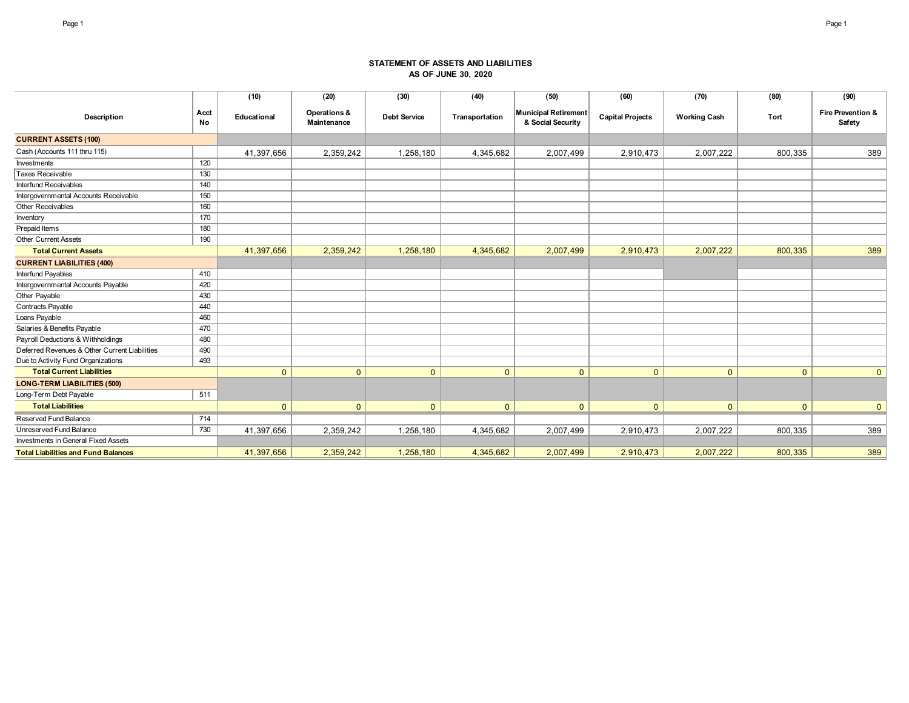### **STATEMENT OF ASSETS AND LIABILITIES AS OF JUNE 30, 2020**

|                                               |            | (10)         | (20)                        | (30)                | (40)           | (50)                                      | (60)                    | (70)                | (80)           | (90)                        |
|-----------------------------------------------|------------|--------------|-----------------------------|---------------------|----------------|-------------------------------------------|-------------------------|---------------------|----------------|-----------------------------|
| Description                                   | Acct<br>No | Educational  | Operations &<br>Maintenance | <b>Debt Service</b> | Transportation | Municipal Retirement<br>& Social Security | <b>Capital Projects</b> | <b>Working Cash</b> | <b>Tort</b>    | Fire Prevention &<br>Safety |
| <b>CURRENT ASSETS (100)</b>                   |            |              |                             |                     |                |                                           |                         |                     |                |                             |
| Cash (Accounts 111 thru 115)                  |            | 41,397,656   | 2,359,242                   | 1,258,180           | 4,345,682      | 2,007,499                                 | 2,910,473               | 2,007,222           | 800,335        | 389                         |
| Investments                                   | 120        |              |                             |                     |                |                                           |                         |                     |                |                             |
| Taxes Receivable                              | 130        |              |                             |                     |                |                                           |                         |                     |                |                             |
| Interfund Receivables                         | 140        |              |                             |                     |                |                                           |                         |                     |                |                             |
| Intergovernmental Accounts Receivable         | 150        |              |                             |                     |                |                                           |                         |                     |                |                             |
| Other Receivables                             | 160        |              |                             |                     |                |                                           |                         |                     |                |                             |
| Inventory                                     | 170        |              |                             |                     |                |                                           |                         |                     |                |                             |
| Prepaid Items                                 | 180        |              |                             |                     |                |                                           |                         |                     |                |                             |
| <b>Other Current Assets</b>                   | 190        |              |                             |                     |                |                                           |                         |                     |                |                             |
| <b>Total Current Assets</b>                   |            | 41,397,656   | 2,359,242                   | 1,258,180           | 4,345,682      | 2,007,499                                 | 2,910,473               | 2,007,222           | 800,335        | 389                         |
| <b>CURRENT LIABILITIES (400)</b>              |            |              |                             |                     |                |                                           |                         |                     |                |                             |
| Interfund Payables                            | 410        |              |                             |                     |                |                                           |                         |                     |                |                             |
| Intergovernmental Accounts Payable            | 420        |              |                             |                     |                |                                           |                         |                     |                |                             |
| Other Payable                                 | 430        |              |                             |                     |                |                                           |                         |                     |                |                             |
| Contracts Payable                             | 440        |              |                             |                     |                |                                           |                         |                     |                |                             |
| Loans Payable                                 | 460        |              |                             |                     |                |                                           |                         |                     |                |                             |
| Salaries & Benefits Payable                   | 470        |              |                             |                     |                |                                           |                         |                     |                |                             |
| Payroll Deductions & Withholdings             | 480        |              |                             |                     |                |                                           |                         |                     |                |                             |
| Deferred Revenues & Other Current Liabilities | 490        |              |                             |                     |                |                                           |                         |                     |                |                             |
| Due to Activity Fund Organizations            | 493        |              |                             |                     |                |                                           |                         |                     |                |                             |
| <b>Total Current Liabilities</b>              |            | $\mathbf{0}$ | $\mathbf{0}$                | $\mathbf{0}$        | $\mathbf{0}$   | $\mathbf{0}$                              | $\mathbf{0}$            | $\Omega$            | $\mathbf{0}$   | $\mathbf{0}$                |
| <b>LONG-TERM LIABILITIES (500)</b>            |            |              |                             |                     |                |                                           |                         |                     |                |                             |
| Long-Term Debt Payable                        | 511        |              |                             |                     |                |                                           |                         |                     |                |                             |
| <b>Total Liabilities</b>                      |            | $\mathbf{0}$ | $\mathbf{0}$                | $\mathbf{0}$        | $\mathbf{0}$   | $\mathbf{0}$                              | $\mathbf{0}$            | $\mathbf{0}$        | $\overline{0}$ | $\mathbf{0}$                |
| Reserved Fund Balance                         | 714        |              |                             |                     |                |                                           |                         |                     |                |                             |
| Unreserved Fund Balance                       | 730        | 41,397,656   | 2,359,242                   | 1,258,180           | 4,345,682      | 2,007,499                                 | 2,910,473               | 2,007,222           | 800,335        | 389                         |
| Investments in General Fixed Assets           |            |              |                             |                     |                |                                           |                         |                     |                |                             |
| <b>Total Liabilities and Fund Balances</b>    |            | 41,397,656   | 2,359,242                   | 1,258,180           | 4,345,682      | 2,007,499                                 | 2,910,473               | 2,007,222           | 800,335        | 389                         |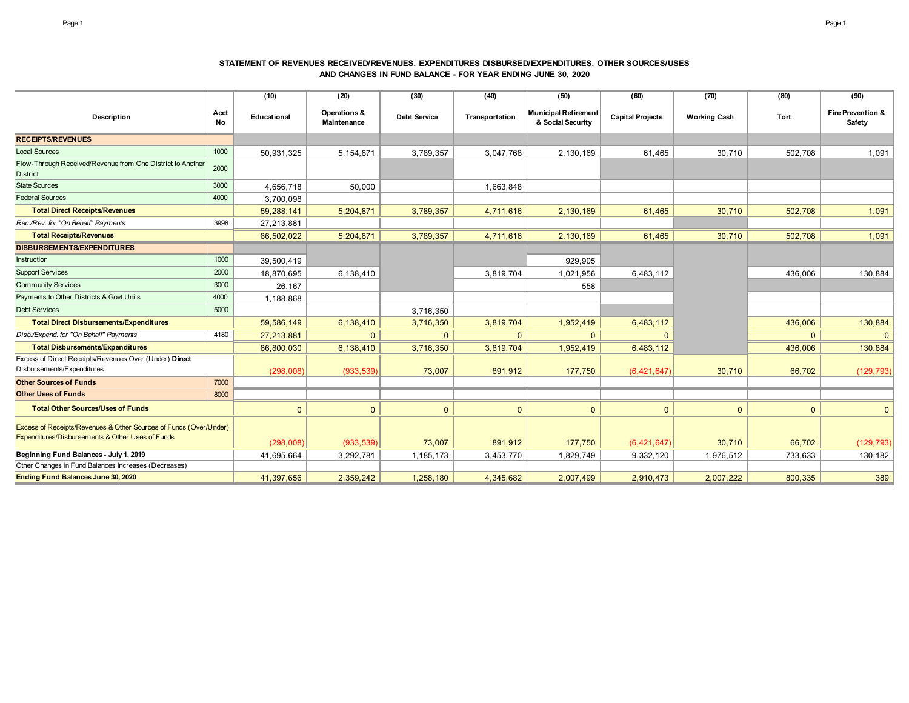### **STATEMENT OF REVENUES RECEIVED/REVENUES, EXPENDITURES DISBURSED/EXPENDITURES, OTHER SOURCES/USES AND CHANGES IN FUND BALANCE - FOR YEAR ENDING JUNE 30, 2020**

|                                                                                                                       |            | (10)         | (20)                        | (30)                | (40)           | (50)                                             | (60)                    | (70)                | (80)           | (90)                        |
|-----------------------------------------------------------------------------------------------------------------------|------------|--------------|-----------------------------|---------------------|----------------|--------------------------------------------------|-------------------------|---------------------|----------------|-----------------------------|
| Description                                                                                                           | Acct<br>No | Educational  | Operations &<br>Maintenance | <b>Debt Service</b> | Transportation | <b>Municipal Retirement</b><br>& Social Security | <b>Capital Projects</b> | <b>Working Cash</b> | Tort           | Fire Prevention &<br>Safety |
| <b>RECEIPTS/REVENUES</b>                                                                                              |            |              |                             |                     |                |                                                  |                         |                     |                |                             |
| <b>Local Sources</b>                                                                                                  | 1000       | 50,931,325   | 5, 154, 871                 | 3,789,357           | 3,047,768      | 2,130,169                                        | 61,465                  | 30,710              | 502,708        | 1,091                       |
| Flow-Through Received/Revenue from One District to Another<br><b>District</b>                                         | 2000       |              |                             |                     |                |                                                  |                         |                     |                |                             |
| <b>State Sources</b>                                                                                                  | 3000       | 4,656,718    | 50,000                      |                     | 1,663,848      |                                                  |                         |                     |                |                             |
| <b>Federal Sources</b>                                                                                                | 4000       | 3,700,098    |                             |                     |                |                                                  |                         |                     |                |                             |
| <b>Total Direct Receipts/Revenues</b>                                                                                 |            | 59,288,141   | 5,204,871                   | 3,789,357           | 4,711,616      | 2,130,169                                        | 61,465                  | 30,710              | 502,708        | 1,091                       |
| Rec./Rev. for "On Behalf" Payments                                                                                    | 3998       | 27,213,881   |                             |                     |                |                                                  |                         |                     |                |                             |
| <b>Total Receipts/Revenues</b>                                                                                        |            | 86,502,022   | 5,204,871                   | 3,789,357           | 4,711,616      | 2,130,169                                        | 61,465                  | 30,710              | 502,708        | 1,091                       |
| <b>DISBURSEMENTS/EXPENDITURES</b>                                                                                     |            |              |                             |                     |                |                                                  |                         |                     |                |                             |
| Instruction                                                                                                           | 1000       | 39,500,419   |                             |                     |                | 929,905                                          |                         |                     |                |                             |
| <b>Support Services</b>                                                                                               | 2000       | 18,870,695   | 6,138,410                   |                     | 3,819,704      | 1,021,956                                        | 6,483,112               |                     | 436,006        | 130,884                     |
| <b>Community Services</b>                                                                                             | 3000       | 26,167       |                             |                     |                | 558                                              |                         |                     |                |                             |
| Payments to Other Districts & Govt Units                                                                              | 4000       | 1,188,868    |                             |                     |                |                                                  |                         |                     |                |                             |
| <b>Debt Services</b>                                                                                                  | 5000       |              |                             | 3,716,350           |                |                                                  |                         |                     |                |                             |
| <b>Total Direct Disbursements/Expenditures</b>                                                                        |            | 59,586,149   | 6,138,410                   | 3,716,350           | 3,819,704      | 1,952,419                                        | 6,483,112               |                     | 436,006        | 130,884                     |
| Disb./Expend. for "On Behalf" Payments                                                                                | 4180       | 27,213,881   | $\Omega$                    | $\Omega$            | $\Omega$       | $\mathbf{0}$                                     | $\Omega$                |                     | $\overline{0}$ | $\mathbf{0}$                |
| <b>Total Disbursements/Expenditures</b>                                                                               |            | 86,800,030   | 6,138,410                   | 3,716,350           | 3,819,704      | 1,952,419                                        | 6,483,112               |                     | 436,006        | 130,884                     |
| Excess of Direct Receipts/Revenues Over (Under) Direct<br>Disbursements/Expenditures                                  |            | (298,008)    | (933, 539)                  | 73,007              | 891,912        | 177,750                                          | (6,421,647)             | 30,710              | 66,702         | (129, 793)                  |
| <b>Other Sources of Funds</b>                                                                                         | 7000       |              |                             |                     |                |                                                  |                         |                     |                |                             |
| <b>Other Uses of Funds</b>                                                                                            | 8000       |              |                             |                     |                |                                                  |                         |                     |                |                             |
| <b>Total Other Sources/Uses of Funds</b>                                                                              |            | $\mathbf{0}$ | $\mathbf{0}$                | $\Omega$            | $\mathbf{0}$   | $\mathbf{0}$                                     | $\mathbf{0}$            | $\Omega$            | $\mathbf{0}$   | $\mathbf{0}$                |
| Excess of Receipts/Revenues & Other Sources of Funds (Over/Under)<br>Expenditures/Disbursements & Other Uses of Funds |            | (298,008)    | (933, 539)                  | 73,007              | 891,912        | 177,750                                          | (6, 421, 647)           | 30,710              | 66,702         | (129, 793)                  |
| Beginning Fund Balances - July 1, 2019                                                                                |            | 41,695,664   | 3,292,781                   | 1,185,173           | 3,453,770      | 1,829,749                                        | 9,332,120               | 1,976,512           | 733,633        | 130,182                     |
| Other Changes in Fund Balances Increases (Decreases)                                                                  |            |              |                             |                     |                |                                                  |                         |                     |                |                             |
| Ending Fund Balances June 30, 2020                                                                                    |            | 41,397,656   | 2,359,242                   | 1,258,180           | 4,345,682      | 2,007,499                                        | 2,910,473               | 2,007,222           | 800,335        | 389                         |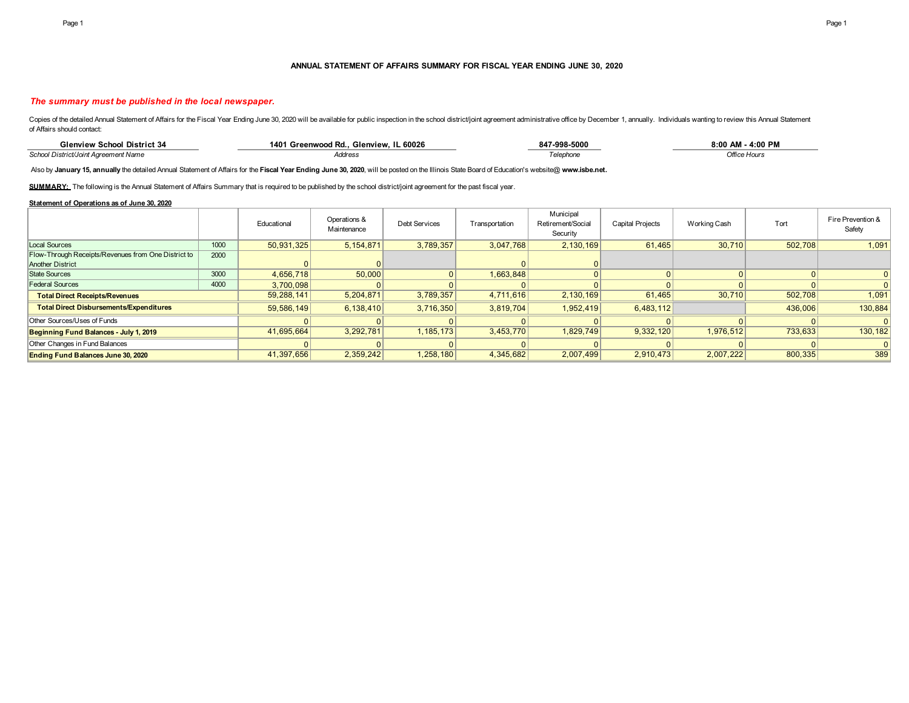#### **ANNUAL STATEMENT OF AFFAIRS SUMMARY FOR FISCAL YEAR ENDING JUNE 30, 2020**

#### *The summary must be published in the local newspaper.*

Copies of the detailed Annual Statement of Affairs for the Fiscal Year Ending June 30, 2020 will be available for public inspection in the school district/joint agreement administrative office by December 1, annually. Indi of Affairs should contact:

| District 3<br>ilenview School                      | . IL 60026<br>Glenview.<br>۱۸۸۰<br><sup>1</sup> Greenwood Rd | 347-998-5000 | $-4:00$ PM<br>00 AMد. |
|----------------------------------------------------|--------------------------------------------------------------|--------------|-----------------------|
| <b>School Distric</b><br>areement Name<br>(JOINT A | <b>Address</b>                                               |              | Office Hour           |

Also by **January 15, annually** the detailed Annual Statement of Affairs for the **Fiscal Year Ending June 30, 2020**, will be posted on the Illinois State Board of Education's website@ **www.isbe.net.**

SUMMARY: The following is the Annual Statement of Affairs Summary that is required to be published by the school district/joint agreement for the past fiscal year.

#### **Statement of Operations as of June 30, 2020**

|                                                     |      | Educational | Operations &<br>Maintenance | <b>Debt Services</b> | Transportation | Municipal<br>Retirement/Social<br>Security | <b>Capital Projects</b> | <b>Working Cash</b> | Tort    | Fire Prevention &<br>Safety |
|-----------------------------------------------------|------|-------------|-----------------------------|----------------------|----------------|--------------------------------------------|-------------------------|---------------------|---------|-----------------------------|
| Local Sources                                       | 1000 | 50,931,325  | 5,154,871                   | 3,789,357            | 3,047,768      | 2,130,169                                  | 61,465                  | 30,710              | 502,708 | 1,091                       |
| Flow-Through Receipts/Revenues from One District to | 2000 |             |                             |                      |                |                                            |                         |                     |         |                             |
| <b>Another District</b>                             |      |             |                             |                      |                |                                            |                         |                     |         |                             |
| <b>State Sources</b>                                | 3000 | 4.656.718   | 50,000                      |                      | 1.663.848      |                                            |                         |                     |         |                             |
| <b>Federal Sources</b>                              | 4000 | 3,700,098   |                             |                      |                |                                            |                         |                     |         |                             |
| <b>Total Direct Receipts/Revenues</b>               |      | 59,288,141  | 5,204,871                   | 3,789,357            | 4,711,616      | 2,130,169                                  | 61,465                  | 30,710              | 502,708 | 1,091                       |
| <b>Total Direct Disbursements/Expenditures</b>      |      | 59,586,149  | 6,138,410                   | 3,716,350            | 3,819,704      | 1,952,419                                  | 6,483,112               |                     | 436,006 | 130,884                     |
| Other Sources/Uses of Funds                         |      |             |                             |                      |                |                                            |                         |                     |         |                             |
| Beginning Fund Balances - July 1, 2019              |      | 41,695,664  | 3,292,781                   | 1,185,173            | 3,453,770      | 1,829,749                                  | 9,332,120               | 1.976.512           | 733,633 | 130,182                     |
| Other Changes in Fund Balances                      |      |             |                             |                      |                |                                            |                         |                     |         |                             |
| <b>Ending Fund Balances June 30, 2020</b>           |      | 41,397,656  | 2,359,242                   | 1,258,180            | 4,345,682      | 2,007,499                                  | 2,910,473               | 2,007,222           | 800,335 | 389                         |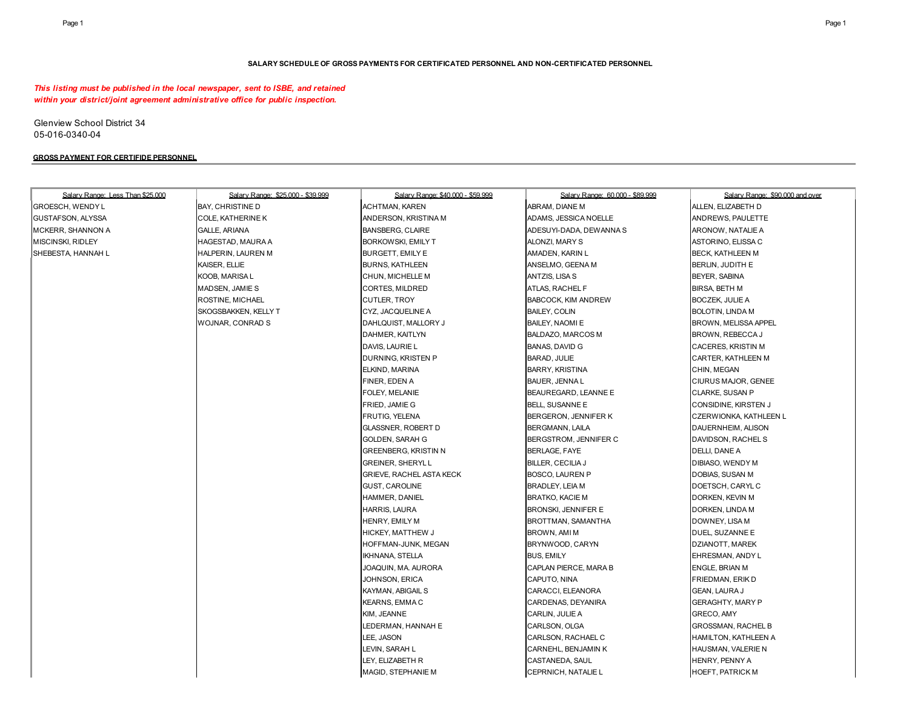#### **SALARY SCHEDULE OF GROSS PAYMENTS FOR CERTIFICATED PERSONNEL AND NON-CERTIFICATED PERSONNEL**

### *This listing must be published in the local newspaper, sent to ISBE, and retained within your district/joint agreement administrative office for public inspection.*

Glenview School District 34 05-016-0340-04

### **GROSS PAYMENT FOR CERTIFIDE PERSONNEL**

| <b>BAY, CHRISTINE D</b><br><b>ACHTMAN, KAREN</b><br>ABRAM, DIANE M<br>ALLEN, ELIZABETH D<br>ANDERSON, KRISTINA M<br>ADAMS, JESSICA NOELLE<br>ANDREWS, PAULETTE<br><b>COLE, KATHERINE K</b><br><b>GALLE, ARIANA</b><br><b>BANSBERG, CLAIRE</b><br>ADESUYI-DADA, DEWANNA S<br>ARONOW, NATALIE A<br>HAGESTAD, MAURA A<br>BORKOWSKI, EMILY T<br>ALONZI, MARY S<br>ASTORINO, ELISSA C<br>HALPERIN, LAUREN M<br>BURGETT, EMILY E<br>AMADEN, KARIN L<br>BECK, KATHLEEN M<br>KAISER, ELLIE<br><b>BURNS, KATHLEEN</b><br>ANSELMO, GEENA M<br>BERLIN, JUDITH E<br>KOOB, MARISA L<br>CHUN, MICHELLE M<br>ANTZIS, LISA S<br>BEYER, SABINA<br>MADSEN, JAMIE S<br>CORTES, MILDRED<br>ATLAS, RACHEL F<br><b>BIRSA, BETH M</b><br>ROSTINE, MICHAEL<br><b>CUTLER, TROY</b><br>BABCOCK, KIM ANDREW<br><b>BOCZEK, JULIE A</b><br>SKOGSBAKKEN, KELLY T<br>CYZ, JACQUELINE A<br><b>BAILEY, COLIN</b><br><b>BOLOTIN, LINDA M</b><br>WOJNAR, CONRAD S<br>DAHLQUIST, MALLORY J<br>BAILEY, NAOMI E<br>BROWN, MELISSA APPEL<br>DAHMER, KAITLYN<br>BALDAZO, MARCOS M<br>BROWN, REBECCA J<br>DAVIS, LAURIE L<br><b>BANAS, DAVID G</b><br>CACERES, KRISTIN M<br>DURNING, KRISTEN P<br>BARAD, JULIE<br>CARTER, KATHLEEN M<br>ELKIND, MARINA<br><b>BARRY, KRISTINA</b><br>CHIN, MEGAN<br>FINER, EDEN A<br>BAUER, JENNA L<br>CIURUS MAJOR, GENEE<br>FOLEY, MELANIE<br>BEAUREGARD, LEANNE E<br>CLARKE, SUSAN P<br>FRIED, JAMIE G<br>BELL, SUSANNE E<br>CONSIDINE, KIRSTEN J<br>FRUTIG, YELENA<br>BERGERON, JENNIFER K<br>CZERWIONKA, KATHLEEN L<br><b>GLASSNER, ROBERT D</b><br>BERGMANN, LAILA<br>DAUERNHEIM, ALISON<br><b>GOLDEN, SARAH G</b><br>BERGSTROM, JENNIFER C<br>DAVIDSON, RACHELS<br><b>GREENBERG, KRISTIN N</b><br>BERLAGE, FAYE<br>DELLI, DANE A<br><b>GREINER, SHERYLL</b><br>BILLER, CECILIA J<br>DIBIASO, WENDY M<br><b>GRIEVE, RACHEL ASTA KECK</b><br>DOBIAS, SUSAN M<br><b>BOSCO, LAUREN P</b><br><b>GUST, CAROLINE</b><br>BRADLEY, LEIA M<br>DOETSCH, CARYL C<br>HAMMER, DANIEL<br><b>BRATKO, KACIE M</b><br>DORKEN, KEVIN M<br><b>HARRIS, LAURA</b><br>BRONSKI, JENNIFER E<br>DORKEN, LINDA M<br>HENRY, EMILY M<br>BROTTMAN, SAMANTHA<br>DOWNEY, LISA M<br><b>HICKEY, MATTHEW J</b><br>BROWN, AMI M<br>DUEL, SUZANNE E<br>HOFFMAN-JUNK, MEGAN<br>BRYNWOOD, CARYN<br>DZIANOTT, MAREK<br><b>BUS, EMILY</b><br>IKHNANA, STELLA<br>EHRESMAN, ANDY L<br>CAPLAN PIERCE, MARA B<br><b>ENGLE, BRIAN M</b><br>JOAQUIN, MA. AURORA<br>JOHNSON, ERICA<br>CAPUTO, NINA<br>FRIEDMAN, ERIK D<br><b>KAYMAN, ABIGAIL S</b><br>CARACCI, ELEANORA<br><b>GEAN, LAURA J</b><br><b>KEARNS, EMMAC</b><br>CARDENAS, DEYANIRA<br><b>GERAGHTY, MARY P</b><br>KIM, JEANNE<br>CARLIN, JULIE A<br>GRECO, AMY<br>LEDERMAN, HANNAH E<br>CARLSON, OLGA<br><b>GROSSMAN, RACHEL B</b><br>LEE, JASON<br>CARLSON, RACHAEL C<br><b>HAMILTON, KATHLEEN A</b> | Salary Range: Less Than \$25,000 | Salary Range: \$25,000 - \$39,999 | Salary Range: \$40,000 - \$59,999 | Salary Range: 60.000 - \$89.999 | Salary Range: \$90,000 and over |
|--------------------------------------------------------------------------------------------------------------------------------------------------------------------------------------------------------------------------------------------------------------------------------------------------------------------------------------------------------------------------------------------------------------------------------------------------------------------------------------------------------------------------------------------------------------------------------------------------------------------------------------------------------------------------------------------------------------------------------------------------------------------------------------------------------------------------------------------------------------------------------------------------------------------------------------------------------------------------------------------------------------------------------------------------------------------------------------------------------------------------------------------------------------------------------------------------------------------------------------------------------------------------------------------------------------------------------------------------------------------------------------------------------------------------------------------------------------------------------------------------------------------------------------------------------------------------------------------------------------------------------------------------------------------------------------------------------------------------------------------------------------------------------------------------------------------------------------------------------------------------------------------------------------------------------------------------------------------------------------------------------------------------------------------------------------------------------------------------------------------------------------------------------------------------------------------------------------------------------------------------------------------------------------------------------------------------------------------------------------------------------------------------------------------------------------------------------------------------------------------------------------------------------------------------------------------------------------------------------------------------------------------------------------------------------------------------------------------------------------------------------------------------------------------------------------|----------------------------------|-----------------------------------|-----------------------------------|---------------------------------|---------------------------------|
|                                                                                                                                                                                                                                                                                                                                                                                                                                                                                                                                                                                                                                                                                                                                                                                                                                                                                                                                                                                                                                                                                                                                                                                                                                                                                                                                                                                                                                                                                                                                                                                                                                                                                                                                                                                                                                                                                                                                                                                                                                                                                                                                                                                                                                                                                                                                                                                                                                                                                                                                                                                                                                                                                                                                                                                                              | GROESCH, WENDY L                 |                                   |                                   |                                 |                                 |
|                                                                                                                                                                                                                                                                                                                                                                                                                                                                                                                                                                                                                                                                                                                                                                                                                                                                                                                                                                                                                                                                                                                                                                                                                                                                                                                                                                                                                                                                                                                                                                                                                                                                                                                                                                                                                                                                                                                                                                                                                                                                                                                                                                                                                                                                                                                                                                                                                                                                                                                                                                                                                                                                                                                                                                                                              | GUSTAFSON, ALYSSA                |                                   |                                   |                                 |                                 |
|                                                                                                                                                                                                                                                                                                                                                                                                                                                                                                                                                                                                                                                                                                                                                                                                                                                                                                                                                                                                                                                                                                                                                                                                                                                                                                                                                                                                                                                                                                                                                                                                                                                                                                                                                                                                                                                                                                                                                                                                                                                                                                                                                                                                                                                                                                                                                                                                                                                                                                                                                                                                                                                                                                                                                                                                              | MCKERR, SHANNON A                |                                   |                                   |                                 |                                 |
|                                                                                                                                                                                                                                                                                                                                                                                                                                                                                                                                                                                                                                                                                                                                                                                                                                                                                                                                                                                                                                                                                                                                                                                                                                                                                                                                                                                                                                                                                                                                                                                                                                                                                                                                                                                                                                                                                                                                                                                                                                                                                                                                                                                                                                                                                                                                                                                                                                                                                                                                                                                                                                                                                                                                                                                                              | MISCINSKI, RIDLEY                |                                   |                                   |                                 |                                 |
|                                                                                                                                                                                                                                                                                                                                                                                                                                                                                                                                                                                                                                                                                                                                                                                                                                                                                                                                                                                                                                                                                                                                                                                                                                                                                                                                                                                                                                                                                                                                                                                                                                                                                                                                                                                                                                                                                                                                                                                                                                                                                                                                                                                                                                                                                                                                                                                                                                                                                                                                                                                                                                                                                                                                                                                                              | SHEBESTA, HANNAH L               |                                   |                                   |                                 |                                 |
|                                                                                                                                                                                                                                                                                                                                                                                                                                                                                                                                                                                                                                                                                                                                                                                                                                                                                                                                                                                                                                                                                                                                                                                                                                                                                                                                                                                                                                                                                                                                                                                                                                                                                                                                                                                                                                                                                                                                                                                                                                                                                                                                                                                                                                                                                                                                                                                                                                                                                                                                                                                                                                                                                                                                                                                                              |                                  |                                   |                                   |                                 |                                 |
|                                                                                                                                                                                                                                                                                                                                                                                                                                                                                                                                                                                                                                                                                                                                                                                                                                                                                                                                                                                                                                                                                                                                                                                                                                                                                                                                                                                                                                                                                                                                                                                                                                                                                                                                                                                                                                                                                                                                                                                                                                                                                                                                                                                                                                                                                                                                                                                                                                                                                                                                                                                                                                                                                                                                                                                                              |                                  |                                   |                                   |                                 |                                 |
|                                                                                                                                                                                                                                                                                                                                                                                                                                                                                                                                                                                                                                                                                                                                                                                                                                                                                                                                                                                                                                                                                                                                                                                                                                                                                                                                                                                                                                                                                                                                                                                                                                                                                                                                                                                                                                                                                                                                                                                                                                                                                                                                                                                                                                                                                                                                                                                                                                                                                                                                                                                                                                                                                                                                                                                                              |                                  |                                   |                                   |                                 |                                 |
|                                                                                                                                                                                                                                                                                                                                                                                                                                                                                                                                                                                                                                                                                                                                                                                                                                                                                                                                                                                                                                                                                                                                                                                                                                                                                                                                                                                                                                                                                                                                                                                                                                                                                                                                                                                                                                                                                                                                                                                                                                                                                                                                                                                                                                                                                                                                                                                                                                                                                                                                                                                                                                                                                                                                                                                                              |                                  |                                   |                                   |                                 |                                 |
|                                                                                                                                                                                                                                                                                                                                                                                                                                                                                                                                                                                                                                                                                                                                                                                                                                                                                                                                                                                                                                                                                                                                                                                                                                                                                                                                                                                                                                                                                                                                                                                                                                                                                                                                                                                                                                                                                                                                                                                                                                                                                                                                                                                                                                                                                                                                                                                                                                                                                                                                                                                                                                                                                                                                                                                                              |                                  |                                   |                                   |                                 |                                 |
|                                                                                                                                                                                                                                                                                                                                                                                                                                                                                                                                                                                                                                                                                                                                                                                                                                                                                                                                                                                                                                                                                                                                                                                                                                                                                                                                                                                                                                                                                                                                                                                                                                                                                                                                                                                                                                                                                                                                                                                                                                                                                                                                                                                                                                                                                                                                                                                                                                                                                                                                                                                                                                                                                                                                                                                                              |                                  |                                   |                                   |                                 |                                 |
|                                                                                                                                                                                                                                                                                                                                                                                                                                                                                                                                                                                                                                                                                                                                                                                                                                                                                                                                                                                                                                                                                                                                                                                                                                                                                                                                                                                                                                                                                                                                                                                                                                                                                                                                                                                                                                                                                                                                                                                                                                                                                                                                                                                                                                                                                                                                                                                                                                                                                                                                                                                                                                                                                                                                                                                                              |                                  |                                   |                                   |                                 |                                 |
|                                                                                                                                                                                                                                                                                                                                                                                                                                                                                                                                                                                                                                                                                                                                                                                                                                                                                                                                                                                                                                                                                                                                                                                                                                                                                                                                                                                                                                                                                                                                                                                                                                                                                                                                                                                                                                                                                                                                                                                                                                                                                                                                                                                                                                                                                                                                                                                                                                                                                                                                                                                                                                                                                                                                                                                                              |                                  |                                   |                                   |                                 |                                 |
|                                                                                                                                                                                                                                                                                                                                                                                                                                                                                                                                                                                                                                                                                                                                                                                                                                                                                                                                                                                                                                                                                                                                                                                                                                                                                                                                                                                                                                                                                                                                                                                                                                                                                                                                                                                                                                                                                                                                                                                                                                                                                                                                                                                                                                                                                                                                                                                                                                                                                                                                                                                                                                                                                                                                                                                                              |                                  |                                   |                                   |                                 |                                 |
|                                                                                                                                                                                                                                                                                                                                                                                                                                                                                                                                                                                                                                                                                                                                                                                                                                                                                                                                                                                                                                                                                                                                                                                                                                                                                                                                                                                                                                                                                                                                                                                                                                                                                                                                                                                                                                                                                                                                                                                                                                                                                                                                                                                                                                                                                                                                                                                                                                                                                                                                                                                                                                                                                                                                                                                                              |                                  |                                   |                                   |                                 |                                 |
|                                                                                                                                                                                                                                                                                                                                                                                                                                                                                                                                                                                                                                                                                                                                                                                                                                                                                                                                                                                                                                                                                                                                                                                                                                                                                                                                                                                                                                                                                                                                                                                                                                                                                                                                                                                                                                                                                                                                                                                                                                                                                                                                                                                                                                                                                                                                                                                                                                                                                                                                                                                                                                                                                                                                                                                                              |                                  |                                   |                                   |                                 |                                 |
|                                                                                                                                                                                                                                                                                                                                                                                                                                                                                                                                                                                                                                                                                                                                                                                                                                                                                                                                                                                                                                                                                                                                                                                                                                                                                                                                                                                                                                                                                                                                                                                                                                                                                                                                                                                                                                                                                                                                                                                                                                                                                                                                                                                                                                                                                                                                                                                                                                                                                                                                                                                                                                                                                                                                                                                                              |                                  |                                   |                                   |                                 |                                 |
|                                                                                                                                                                                                                                                                                                                                                                                                                                                                                                                                                                                                                                                                                                                                                                                                                                                                                                                                                                                                                                                                                                                                                                                                                                                                                                                                                                                                                                                                                                                                                                                                                                                                                                                                                                                                                                                                                                                                                                                                                                                                                                                                                                                                                                                                                                                                                                                                                                                                                                                                                                                                                                                                                                                                                                                                              |                                  |                                   |                                   |                                 |                                 |
|                                                                                                                                                                                                                                                                                                                                                                                                                                                                                                                                                                                                                                                                                                                                                                                                                                                                                                                                                                                                                                                                                                                                                                                                                                                                                                                                                                                                                                                                                                                                                                                                                                                                                                                                                                                                                                                                                                                                                                                                                                                                                                                                                                                                                                                                                                                                                                                                                                                                                                                                                                                                                                                                                                                                                                                                              |                                  |                                   |                                   |                                 |                                 |
|                                                                                                                                                                                                                                                                                                                                                                                                                                                                                                                                                                                                                                                                                                                                                                                                                                                                                                                                                                                                                                                                                                                                                                                                                                                                                                                                                                                                                                                                                                                                                                                                                                                                                                                                                                                                                                                                                                                                                                                                                                                                                                                                                                                                                                                                                                                                                                                                                                                                                                                                                                                                                                                                                                                                                                                                              |                                  |                                   |                                   |                                 |                                 |
|                                                                                                                                                                                                                                                                                                                                                                                                                                                                                                                                                                                                                                                                                                                                                                                                                                                                                                                                                                                                                                                                                                                                                                                                                                                                                                                                                                                                                                                                                                                                                                                                                                                                                                                                                                                                                                                                                                                                                                                                                                                                                                                                                                                                                                                                                                                                                                                                                                                                                                                                                                                                                                                                                                                                                                                                              |                                  |                                   |                                   |                                 |                                 |
|                                                                                                                                                                                                                                                                                                                                                                                                                                                                                                                                                                                                                                                                                                                                                                                                                                                                                                                                                                                                                                                                                                                                                                                                                                                                                                                                                                                                                                                                                                                                                                                                                                                                                                                                                                                                                                                                                                                                                                                                                                                                                                                                                                                                                                                                                                                                                                                                                                                                                                                                                                                                                                                                                                                                                                                                              |                                  |                                   |                                   |                                 |                                 |
|                                                                                                                                                                                                                                                                                                                                                                                                                                                                                                                                                                                                                                                                                                                                                                                                                                                                                                                                                                                                                                                                                                                                                                                                                                                                                                                                                                                                                                                                                                                                                                                                                                                                                                                                                                                                                                                                                                                                                                                                                                                                                                                                                                                                                                                                                                                                                                                                                                                                                                                                                                                                                                                                                                                                                                                                              |                                  |                                   |                                   |                                 |                                 |
|                                                                                                                                                                                                                                                                                                                                                                                                                                                                                                                                                                                                                                                                                                                                                                                                                                                                                                                                                                                                                                                                                                                                                                                                                                                                                                                                                                                                                                                                                                                                                                                                                                                                                                                                                                                                                                                                                                                                                                                                                                                                                                                                                                                                                                                                                                                                                                                                                                                                                                                                                                                                                                                                                                                                                                                                              |                                  |                                   |                                   |                                 |                                 |
|                                                                                                                                                                                                                                                                                                                                                                                                                                                                                                                                                                                                                                                                                                                                                                                                                                                                                                                                                                                                                                                                                                                                                                                                                                                                                                                                                                                                                                                                                                                                                                                                                                                                                                                                                                                                                                                                                                                                                                                                                                                                                                                                                                                                                                                                                                                                                                                                                                                                                                                                                                                                                                                                                                                                                                                                              |                                  |                                   |                                   |                                 |                                 |
|                                                                                                                                                                                                                                                                                                                                                                                                                                                                                                                                                                                                                                                                                                                                                                                                                                                                                                                                                                                                                                                                                                                                                                                                                                                                                                                                                                                                                                                                                                                                                                                                                                                                                                                                                                                                                                                                                                                                                                                                                                                                                                                                                                                                                                                                                                                                                                                                                                                                                                                                                                                                                                                                                                                                                                                                              |                                  |                                   |                                   |                                 |                                 |
|                                                                                                                                                                                                                                                                                                                                                                                                                                                                                                                                                                                                                                                                                                                                                                                                                                                                                                                                                                                                                                                                                                                                                                                                                                                                                                                                                                                                                                                                                                                                                                                                                                                                                                                                                                                                                                                                                                                                                                                                                                                                                                                                                                                                                                                                                                                                                                                                                                                                                                                                                                                                                                                                                                                                                                                                              |                                  |                                   |                                   |                                 |                                 |
|                                                                                                                                                                                                                                                                                                                                                                                                                                                                                                                                                                                                                                                                                                                                                                                                                                                                                                                                                                                                                                                                                                                                                                                                                                                                                                                                                                                                                                                                                                                                                                                                                                                                                                                                                                                                                                                                                                                                                                                                                                                                                                                                                                                                                                                                                                                                                                                                                                                                                                                                                                                                                                                                                                                                                                                                              |                                  |                                   |                                   |                                 |                                 |
|                                                                                                                                                                                                                                                                                                                                                                                                                                                                                                                                                                                                                                                                                                                                                                                                                                                                                                                                                                                                                                                                                                                                                                                                                                                                                                                                                                                                                                                                                                                                                                                                                                                                                                                                                                                                                                                                                                                                                                                                                                                                                                                                                                                                                                                                                                                                                                                                                                                                                                                                                                                                                                                                                                                                                                                                              |                                  |                                   |                                   |                                 |                                 |
|                                                                                                                                                                                                                                                                                                                                                                                                                                                                                                                                                                                                                                                                                                                                                                                                                                                                                                                                                                                                                                                                                                                                                                                                                                                                                                                                                                                                                                                                                                                                                                                                                                                                                                                                                                                                                                                                                                                                                                                                                                                                                                                                                                                                                                                                                                                                                                                                                                                                                                                                                                                                                                                                                                                                                                                                              |                                  |                                   |                                   |                                 |                                 |
|                                                                                                                                                                                                                                                                                                                                                                                                                                                                                                                                                                                                                                                                                                                                                                                                                                                                                                                                                                                                                                                                                                                                                                                                                                                                                                                                                                                                                                                                                                                                                                                                                                                                                                                                                                                                                                                                                                                                                                                                                                                                                                                                                                                                                                                                                                                                                                                                                                                                                                                                                                                                                                                                                                                                                                                                              |                                  |                                   |                                   |                                 |                                 |
|                                                                                                                                                                                                                                                                                                                                                                                                                                                                                                                                                                                                                                                                                                                                                                                                                                                                                                                                                                                                                                                                                                                                                                                                                                                                                                                                                                                                                                                                                                                                                                                                                                                                                                                                                                                                                                                                                                                                                                                                                                                                                                                                                                                                                                                                                                                                                                                                                                                                                                                                                                                                                                                                                                                                                                                                              |                                  |                                   |                                   |                                 |                                 |
|                                                                                                                                                                                                                                                                                                                                                                                                                                                                                                                                                                                                                                                                                                                                                                                                                                                                                                                                                                                                                                                                                                                                                                                                                                                                                                                                                                                                                                                                                                                                                                                                                                                                                                                                                                                                                                                                                                                                                                                                                                                                                                                                                                                                                                                                                                                                                                                                                                                                                                                                                                                                                                                                                                                                                                                                              |                                  |                                   |                                   |                                 |                                 |
|                                                                                                                                                                                                                                                                                                                                                                                                                                                                                                                                                                                                                                                                                                                                                                                                                                                                                                                                                                                                                                                                                                                                                                                                                                                                                                                                                                                                                                                                                                                                                                                                                                                                                                                                                                                                                                                                                                                                                                                                                                                                                                                                                                                                                                                                                                                                                                                                                                                                                                                                                                                                                                                                                                                                                                                                              |                                  |                                   |                                   |                                 |                                 |
|                                                                                                                                                                                                                                                                                                                                                                                                                                                                                                                                                                                                                                                                                                                                                                                                                                                                                                                                                                                                                                                                                                                                                                                                                                                                                                                                                                                                                                                                                                                                                                                                                                                                                                                                                                                                                                                                                                                                                                                                                                                                                                                                                                                                                                                                                                                                                                                                                                                                                                                                                                                                                                                                                                                                                                                                              |                                  |                                   |                                   |                                 |                                 |
|                                                                                                                                                                                                                                                                                                                                                                                                                                                                                                                                                                                                                                                                                                                                                                                                                                                                                                                                                                                                                                                                                                                                                                                                                                                                                                                                                                                                                                                                                                                                                                                                                                                                                                                                                                                                                                                                                                                                                                                                                                                                                                                                                                                                                                                                                                                                                                                                                                                                                                                                                                                                                                                                                                                                                                                                              |                                  |                                   |                                   |                                 |                                 |
|                                                                                                                                                                                                                                                                                                                                                                                                                                                                                                                                                                                                                                                                                                                                                                                                                                                                                                                                                                                                                                                                                                                                                                                                                                                                                                                                                                                                                                                                                                                                                                                                                                                                                                                                                                                                                                                                                                                                                                                                                                                                                                                                                                                                                                                                                                                                                                                                                                                                                                                                                                                                                                                                                                                                                                                                              |                                  |                                   |                                   |                                 |                                 |
|                                                                                                                                                                                                                                                                                                                                                                                                                                                                                                                                                                                                                                                                                                                                                                                                                                                                                                                                                                                                                                                                                                                                                                                                                                                                                                                                                                                                                                                                                                                                                                                                                                                                                                                                                                                                                                                                                                                                                                                                                                                                                                                                                                                                                                                                                                                                                                                                                                                                                                                                                                                                                                                                                                                                                                                                              |                                  |                                   |                                   |                                 |                                 |
| LEVIN, SARAH L<br>CARNEHL, BENJAMIN K<br>HAUSMAN, VALERIE N                                                                                                                                                                                                                                                                                                                                                                                                                                                                                                                                                                                                                                                                                                                                                                                                                                                                                                                                                                                                                                                                                                                                                                                                                                                                                                                                                                                                                                                                                                                                                                                                                                                                                                                                                                                                                                                                                                                                                                                                                                                                                                                                                                                                                                                                                                                                                                                                                                                                                                                                                                                                                                                                                                                                                  |                                  |                                   |                                   |                                 |                                 |
| LEY, ELIZABETH R<br>CASTANEDA, SAUL<br>HENRY, PENNY A                                                                                                                                                                                                                                                                                                                                                                                                                                                                                                                                                                                                                                                                                                                                                                                                                                                                                                                                                                                                                                                                                                                                                                                                                                                                                                                                                                                                                                                                                                                                                                                                                                                                                                                                                                                                                                                                                                                                                                                                                                                                                                                                                                                                                                                                                                                                                                                                                                                                                                                                                                                                                                                                                                                                                        |                                  |                                   |                                   |                                 |                                 |
| MAGID, STEPHANIE M<br>CEPRNICH, NATALIE L<br><b>HOEFT, PATRICK M</b>                                                                                                                                                                                                                                                                                                                                                                                                                                                                                                                                                                                                                                                                                                                                                                                                                                                                                                                                                                                                                                                                                                                                                                                                                                                                                                                                                                                                                                                                                                                                                                                                                                                                                                                                                                                                                                                                                                                                                                                                                                                                                                                                                                                                                                                                                                                                                                                                                                                                                                                                                                                                                                                                                                                                         |                                  |                                   |                                   |                                 |                                 |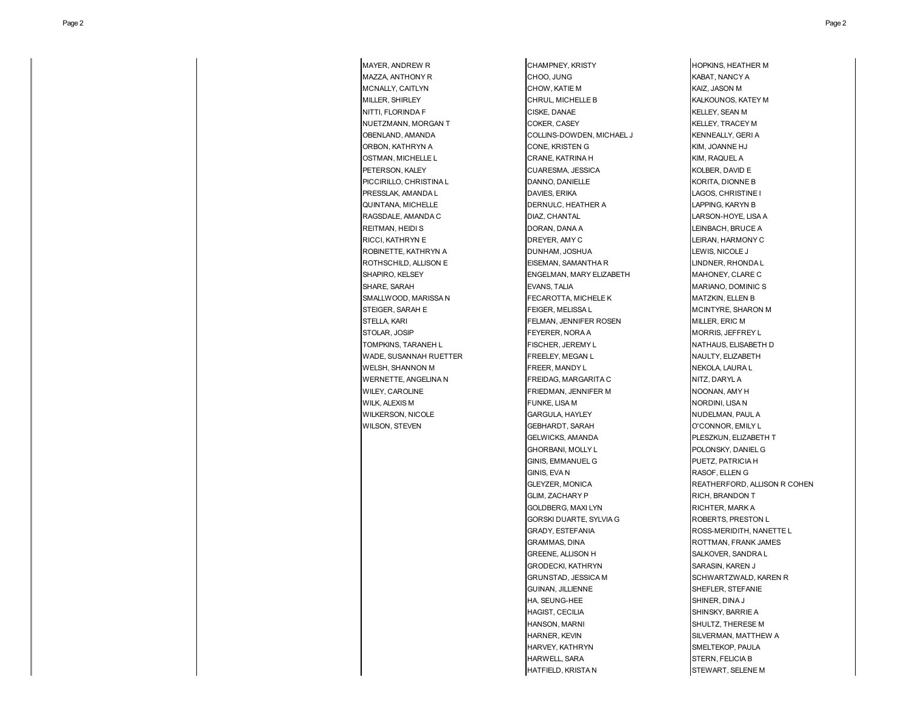MAYER, ANDREW R CHAMPNEY, KRISTY CHAMPNEY, KRISTY HOPKINS, HEATHER M

MAZZA, ANTHONY R CHOO, JUNG KABAT, NANCY A MCNALLY, CAITLYN CHOW, KATIE M CHOW, KATIE M KAIZ, JASON M MILLER, SHIRLEY **CHRUL, MICHELLE B** KALKOUNOS, KATEY M NITTI, FLORINDA F CISKE, DANAE KELLEY, SEAN M NUETZMANN, MORGAN T COKER, CASEY COKER, CASEY KELLEY, TRACEY M OBENLAND, AMANDA COLLINS-DOWDEN, MICHAEL J KENNEALLY, GERI A ORBON, KATHRYN A CONE, KRISTEN GYMBON, KATHRYN A KIM, JOANNE HJ OSTMAN, MICHELLE LOCKER LOCK CRANE, KATRINA HOMOGRANE AND KIM, RAQUEL A PETERSON, KALEY CUARESMA, JESSICA KOLBER, DAVID E PICCIRILLO, CHRISTINA L **DANNO, DANIELLE** CORITA, DIONNE B PRESSLAK, AMANDA L**agos, American State Control Control** DAVIES, ERIKA LAGOS, CHRISTINE I QUINTANA, MICHELLE **DERNULC, HEATHER A** LAPPING, KARYN B RAGSDALE, AMANDA C DIAZ, CHANTAL DIAZ, CHANTAL LARSON-HOYE, LISA A REITMAN, HEIDI SQUARE AND REITMAN, INC. AND REITMAN, ILLEINBACH, BRUCE A RICCI, KATHRYN E DREYER, AMY C LEIRAN, HARMONY C ROBINETTE, KATHRYN A **DUNHAM, JOSHUA LEWIS, NICOLE J** ROTHSCHILD, ALLISON E **EISEMAN, SAMANTHA R** LINDNER, RHONDA L SHAPIRO, KELSEY ENGELMAN, MARY ELIZABETH MAHONEY, CLARE C SHARE, SARAH EVANS, TALIA MARIANO, DOMINIC S SMALLWOOD, MARISSA N FECAROTTA, MICHELE K MATZKIN, ELLEN B STEIGER, SARAH E FEIGER, MELISSA LAND MELISSA LAND MCINTYRE, SHARON M STELLA, KARI FELMAN, JENNIFER ROSEN MILLER, ERIC M STOLAR, JOSIP **FEYERER, NORA A** MORRIS, JEFFREY L TOMPKINS, TARANEH L FISCHER, JEREMY L NATHAUS, ELISABETH D WADE, SUSANNAH RUETTER **FREELEY, MEGAN L** NAULTY, ELIZABETH WELSH, SHANNON M **FREER, MANDY L** FREER, MANDY L **NEKOLA, LAURA L** WERNETTE, ANGELINA N FREIDAG, MARGARITA C NITZ, DARYL A WILEY, CAROLINE **FRIEDMAN, JENNIFER M** NOONAN, AMY H WILK, ALEXIS M NORDINI, LISA N FUNKE, LISA M NORDINI, LISA N WILKERSON, NICOLE **GARGULA, HAYLEY CONSIDER A RAYLEY** NUDELMAN, PAUL A WILSON, STEVEN GEBHARDT, SARAH O'CONNOR, EMILY L GELWICKS, AMANDA **PLESZKUN, ELIZABETH T** GHORBANI, MOLLY L<br>
POLONSKY, DANIEL G GINIS, EMMANUEL G<br>PUETZ, PATRICIA H GINIS, EVA N **RASOF, ELLEN G** GLIM, ZACHARY P RICH, BRANDON T GOLDBERG, MAXI LYN RICHTER, MARK A GORSKI DUARTE, SYLVIA G<br>ROBERTS, PRESTON L GRADY, ESTEFANIA ROSS-MERIDITH, NANETTE L GRAMMAS, DINA **ROTTMAN, FRANK JAMES** GREENE, ALLISON H SALKOVER, SANDRA L GRODECKI, KATHRYN SARASIN, KAREN J GRUNSTAD, JESSICA M SCHWARTZWALD, KAREN R GUINAN, JILLIENNE SHEFLER, STEFANIE HA, SEUNG-HEE SHINER, DINA J HAGIST, CECILIA SHINSKY, BARRIE A HANSON, MARNI SHULTZ, THERESE M HARNER, KEVIN SILVERMAN, MATTHEW A HARVEY, KATHRYN SMELTEKOP, PAULA HARWELL, SARA STERN, FELICIA B HATFIELD, KRISTA N STEWART, SELENE M

GLEYZER, MONICA REATHERFORD, ALLISON R COHEN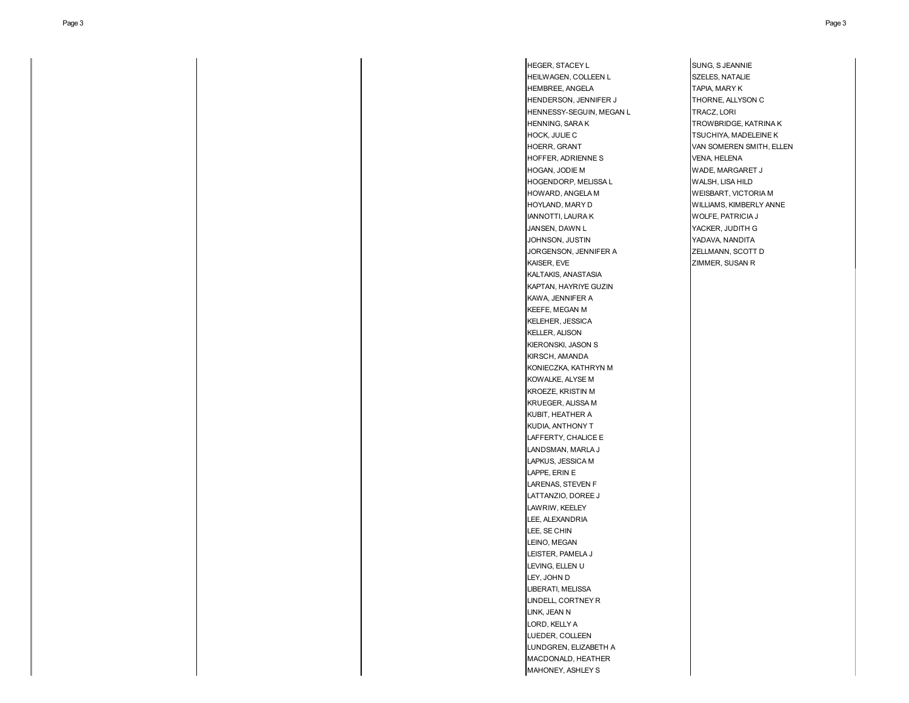HEGER, STACEY LESSEL SUNG, SUNG, SUNG, SUNG, SUNG, SUNG, SUNG, SUNG, SUNG, SUNG, SUNG, SUNG, SUNG, SUNG, SUNG, SUNG, SUNG, SUNG, SUNG, SUNG, SUNG, SUNG, SUNG, SUNG, SUNG, SUNG, SUNG, SUNG, SUNG, SUNG, SUNG, SUNG, SUNG, SUN HEILWAGEN, COLLEEN L<br>SZELES, NATALIE HEMBREE, ANGELA TAPIA, MARY K HENDERSON, JENNIFER J<br>
THORNE, ALLYSON C HENNESSY-SEGUIN, MEGAN L<br>TRACZ, LORI HENNING, SARA K TROWBRIDGE, KATRINA K HOCK, JULIE C<br>
TSUCHIYA, MADELEINE K HOERR, GRANT VAN SOMEREN SMITH, ELLEN HOFFER, ADRIENNE S<br>
VENA, HELENA HOGAN, JODIE M WADE, MARGARET J HOGENDORP, MELISSA L<br>WALSH, LISA HILD HOWARD, ANGELA M WEISBART, VICTORIA M HOYLAND, MARY D WILLIAMS, KIMBERLY ANNE IANNOTTI, LAURA K WOLFE, PATRICIA J JANSEN, DAWN L YACKER, JUDITH G JOHNSON, JUSTIN YADAVA, NANDITA JORGENSON, JENNIFER A ZELLMANN, SCOTT D KAISER, EVE **ZIMMER, SUSAN R** KALTAKIS, ANASTASIA KAPTAN, HAYRIYE GUZIN KAWA, JENNIFER A KEEFE, MEGAN M KELEHER, JESSICA KELLER, ALISON KIERONSKI, JASON S KIRSCH, AMANDA KONIECZKA, KATHRYN M KOWALKE, ALYSE M KROEZE, KRISTIN M KRUEGER, ALISSA M KUBIT, HEATHER A KUDIA, ANTHONY T LAFFERTY, CHALICE E LANDSMAN, MARLA J LAPKUS, JESSICA M LAPPE, ERIN E LARENAS, STEVEN F LATTANZIO, DOREE J LAWRIW, KEELEY LEE, ALEXANDRIA LEE, SE CHIN LEINO, MEGAN LEISTER, PAMELA J LEVING, ELLEN U LEY, JOHN D LIBERATI, MELISSA LINDELL, CORTNEY R LINK, JEAN N LORD, KELLY A LUEDER, COLLEEN LUNDGREN, ELIZABETH A MACDONALD, HEATHER MAHONEY, ASHLEY S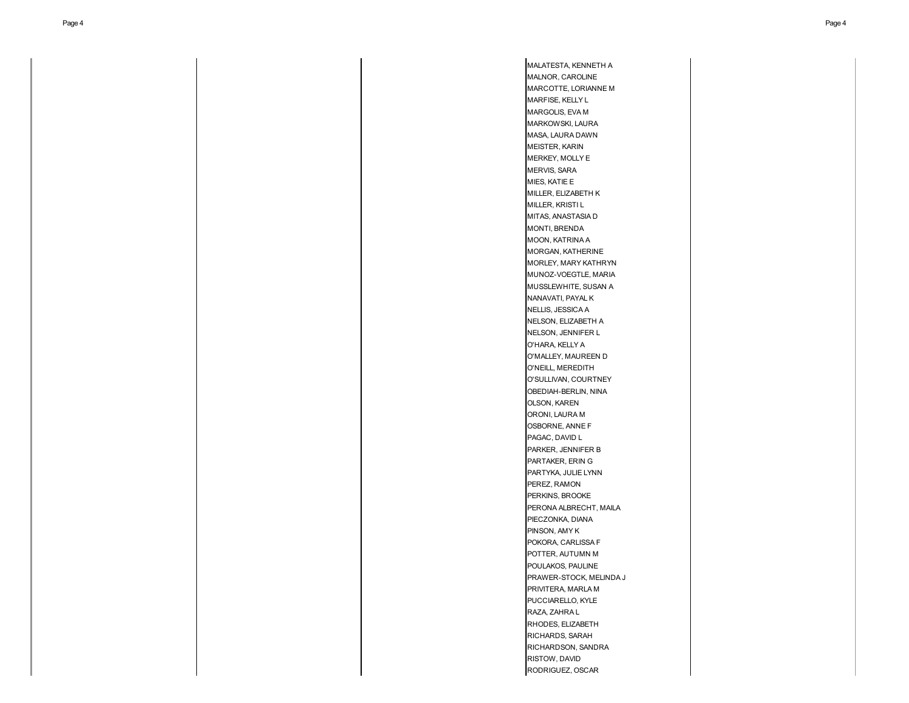MALATESTA, KENNETH A MALNOR, CAROLINE MARCOTTE, LORIANNE M MARFISE, KELLY L MARGOLIS, EVA M MARKOWSKI, LAURA MASA, LAURA DAWN MEISTER, KARIN MERKEY, MOLLY E MERVIS, SARA MIES, KATIE E MILLER, ELIZABETH K MILLER, KRISTI L MITAS, ANASTASIA D MONTI, BRENDA MOON, KATRINA A MORGAN, KATHERINE MORLEY, MARY KATHRYN MUNOZ-VOEGTLE, MARIA MUSSLEWHITE, SUSAN A NANAVATI, PAYAL K NELLIS, JESSICA A NELSON, ELIZABETH A NELSON, JENNIFER L O'HARA, KELLY A O'MALLEY, MAUREEN D O'NEILL, MEREDITH O'SULLIVAN, COURTNEY OBEDIAH-BERLIN, NINA OLSON, KAREN ORONI, LAURA M OSBORNE, ANNE F PAGAC, DAVID L PARKER, JENNIFER B PARTAKER, ERIN G PARTYKA, JULIE LYNN PEREZ, RAMON PERKINS, BROOKE PERONA ALBRECHT, MAILA PIECZONKA, DIANA PINSON, AMY K POKORA, CARLISSA F POTTER, AUTUMN M POULAKOS, PAULINE PRAWER-STOCK, MELINDA J PRIVITERA, MARLA M PUCCIARELLO, KYLE RAZA, ZAHRA L RHODES, ELIZABETH RICHARDS, SARAH RICHARDSON, SANDRA RISTOW, DAVID RODRIGUEZ, OSCAR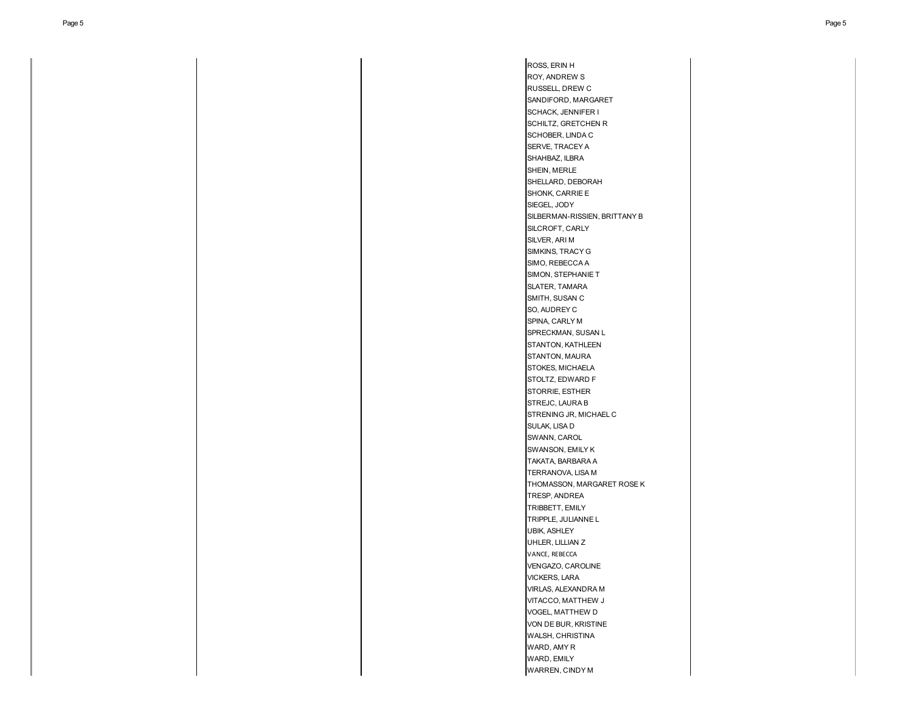ROSS, ERIN H ROY, ANDREW S RUSSELL, DREW C SANDIFORD, MARGARET SCHACK, JENNIFER I SCHILTZ, GRETCHEN R SCHOBER, LINDA C SERVE, TRACEY A SHAHBAZ, ILBRA SHEIN, MERLE SHELLARD, DEBORAH SHONK, CARRIE E SIEGEL, JODY SILBERMAN-RISSIEN, BRITTANY B SILCROFT, CARLY SILVER, ARI M SIMKINS, TRACY G SIMO, REBECCA A SIMON, STEPHANIE T SLATER, TAMARA SMITH, SUSAN C SO, AUDREY C SPINA, CARLY M SPRECKMAN, SUSAN L STANTON, KATHLEEN STANTON, MAURA STOKES, MICHAELA STOLTZ, EDWARD F STORRIE, ESTHER STREJC, LAURA B STRENING JR, MICHAEL C SULAK, LISA D SWANN, CAROL SWANSON, EMILY K TAKATA, BARBARA A TERRANOVA, LISA M THOMASSON, MARGARET ROSE K TRESP, ANDREA TRIBBETT, EMILY TRIPPLE, JULIANNE L UBIK, ASHLEY UHLER, LILLIAN Z VANCE, REBECCA VENGAZO, CAROLINE VICKERS, LARA VIRLAS, ALEXANDRA M VITACCO, MATTHEW J VOGEL, MATTHEW D VON DE BUR, KRISTINE WALSH, CHRISTINA WARD, AMY R WARD, EMILY WARREN, CINDY M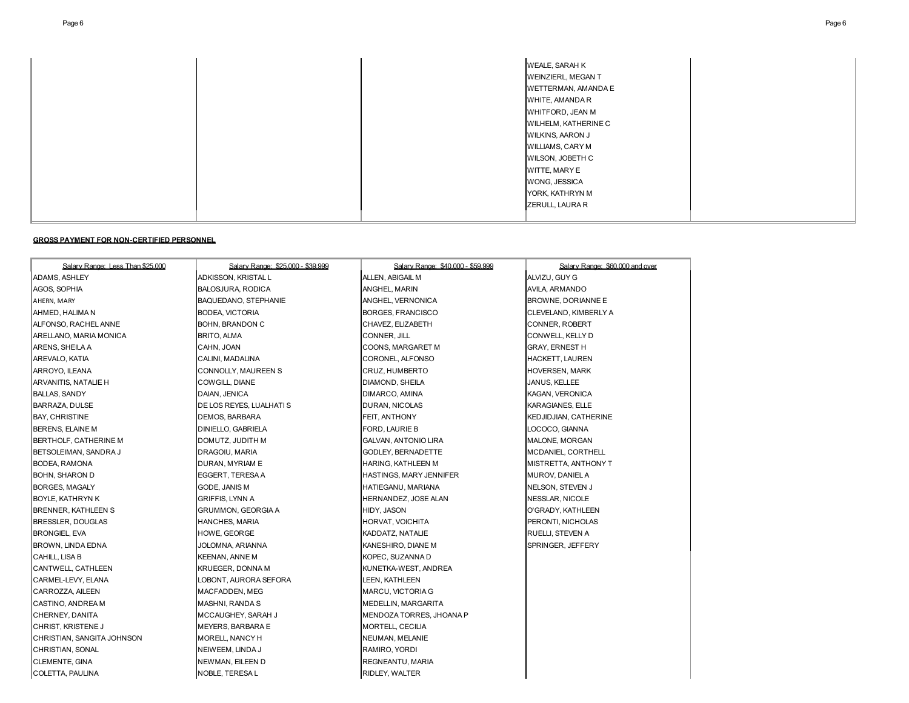|  | WEALE, SARAH K<br>WEINZIERL, MEGAN T<br>WETTERMAN, AMANDA E<br>WHITE, AMANDA R |
|--|--------------------------------------------------------------------------------|
|  | WHITFORD, JEAN M                                                               |
|  | WILHELM, KATHERINE C                                                           |
|  | WILKINS, AARON J                                                               |
|  | WILLIAMS, CARY M<br>WILSON, JOBETH C                                           |
|  | WITTE, MARY E                                                                  |
|  | WONG, JESSICA                                                                  |
|  | YORK, KATHRYN M                                                                |
|  | ZERULL, LAURA R                                                                |
|  |                                                                                |

### **GROSS PAYMENT FOR NON-CERTIFIED PERSONNEL**

| Salary Range: Less Than \$25,000 | Salary Range: \$25,000 - \$39,999 | Salary Range: \$40,000 - \$59,999 | Salary Range: \$60,000 and over |
|----------------------------------|-----------------------------------|-----------------------------------|---------------------------------|
| ADAMS. ASHLEY                    | ADKISSON. KRISTAL L               | ALLEN, ABIGAIL M                  | ALVIZU, GUY G                   |
| AGOS, SOPHIA                     | BALOSJURA, RODICA                 | ANGHEL, MARIN                     | AVILA, ARMANDO                  |
| AHERN, MARY                      | BAQUEDANO, STEPHANIE              | ANGHEL, VERNONICA                 | BROWNE, DORIANNE E              |
| AHMED, HALIMA N                  | <b>BODEA, VICTORIA</b>            | BORGES, FRANCISCO                 | CLEVELAND, KIMBERLY A           |
| ALFONSO, RACHEL ANNE             | BOHN, BRANDON C                   | CHAVEZ, ELIZABETH                 | CONNER, ROBERT                  |
| ARELLANO, MARIA MONICA           | <b>BRITO, ALMA</b>                | CONNER, JILL                      | CONWELL, KELLY D                |
| ARENS, SHEILA A                  | CAHN, JOAN                        | COONS, MARGARET M                 | <b>GRAY, ERNEST H</b>           |
| AREVALO, KATIA                   | CALINI, MADALINA                  | CORONEL, ALFONSO                  | <b>HACKETT, LAUREN</b>          |
| ARROYO, ILEANA                   | CONNOLLY, MAUREEN S               | CRUZ, HUMBERTO                    | <b>HOVERSEN, MARK</b>           |
| ARVANITIS, NATALIE H             | COWGILL, DIANE                    | DIAMOND, SHEILA                   | JANUS, KELLEE                   |
| BALLAS, SANDY                    | DAIAN, JENICA                     | DIMARCO, AMINA                    | KAGAN, VERONICA                 |
| BARRAZA, DULSE                   | DE LOS REYES, LUALHATI S          | DURAN, NICOLAS                    | <b>KARAGIANES, ELLE</b>         |
| BAY, CHRISTINE                   | DEMOS, BARBARA                    | FEIT, ANTHONY                     | <b>KEDJIDJIAN, CATHERINE</b>    |
| BERENS, ELAINE M                 | DINIELLO, GABRIELA                | FORD, LAURIE B                    | LOCOCO, GIANNA                  |
| BERTHOLF, CATHERINE M            | DOMUTZ, JUDITH M                  | GALVAN, ANTONIO LIRA              | <b>MALONE, MORGAN</b>           |
| BETSOLEIMAN, SANDRA J            | DRAGOIU, MARIA                    | GODLEY, BERNADETTE                | MCDANIEL, CORTHELL              |
| BODEA, RAMONA                    | DURAN, MYRIAM E                   | HARING, KATHLEEN M                | MISTRETTA, ANTHONY T            |
| BOHN, SHARON D                   | EGGERT, TERESA A                  | HASTINGS, MARY JENNIFER           | MUROV, DANIEL A                 |
| BORGES, MAGALY                   | GODE, JANIS M                     | HATIEGANU, MARIANA                | NELSON, STEVEN J                |
| BOYLE, KATHRYN K                 | <b>GRIFFIS, LYNN A</b>            | HERNANDEZ, JOSE ALAN              | NESSLAR, NICOLE                 |
| BRENNER, KATHLEEN S              | <b>GRUMMON, GEORGIA A</b>         | HIDY, JASON                       | O'GRADY, KATHLEEN               |
| BRESSLER, DOUGLAS                | HANCHES, MARIA                    | HORVAT, VOICHITA                  | PERONTI, NICHOLAS               |
| BRONGIEL, EVA                    | HOWE, GEORGE                      | KADDATZ, NATALIE                  | RUELLI, STEVEN A                |
| BROWN, LINDA EDNA                | JOLOMNA, ARIANNA                  | KANESHIRO, DIANE M                | SPRINGER, JEFFERY               |
| CAHILL, LISA B                   | KEENAN, ANNE M                    | KOPEC, SUZANNA D                  |                                 |
| CANTWELL, CATHLEEN               | KRUEGER, DONNA M                  | KUNETKA-WEST, ANDREA              |                                 |
| CARMEL-LEVY, ELANA               | LOBONT, AURORA SEFORA             | LEEN, KATHLEEN                    |                                 |
| CARROZZA, AILEEN                 | MACFADDEN, MEG                    | MARCU, VICTORIA G                 |                                 |
| CASTINO, ANDREA M                | MASHNI, RANDA S                   | MEDELLIN, MARGARITA               |                                 |
| CHERNEY, DANITA                  | MCCAUGHEY, SARAH J                | MENDOZA TORRES, JHOANA P          |                                 |
| CHRIST, KRISTENE J               | MEYERS, BARBARA E                 | MORTELL, CECILIA                  |                                 |
| CHRISTIAN, SANGITA JOHNSON       | MORELL, NANCY H                   | NEUMAN, MELANIE                   |                                 |
| CHRISTIAN, SONAL                 | NEIWEEM, LINDA J                  | RAMIRO, YORDI                     |                                 |
| CLEMENTE, GINA                   | NEWMAN, EILEEN D                  | REGNEANTU, MARIA                  |                                 |
| COLETTA, PAULINA                 | NOBLE, TERESA L                   | RIDLEY, WALTER                    |                                 |
|                                  |                                   |                                   |                                 |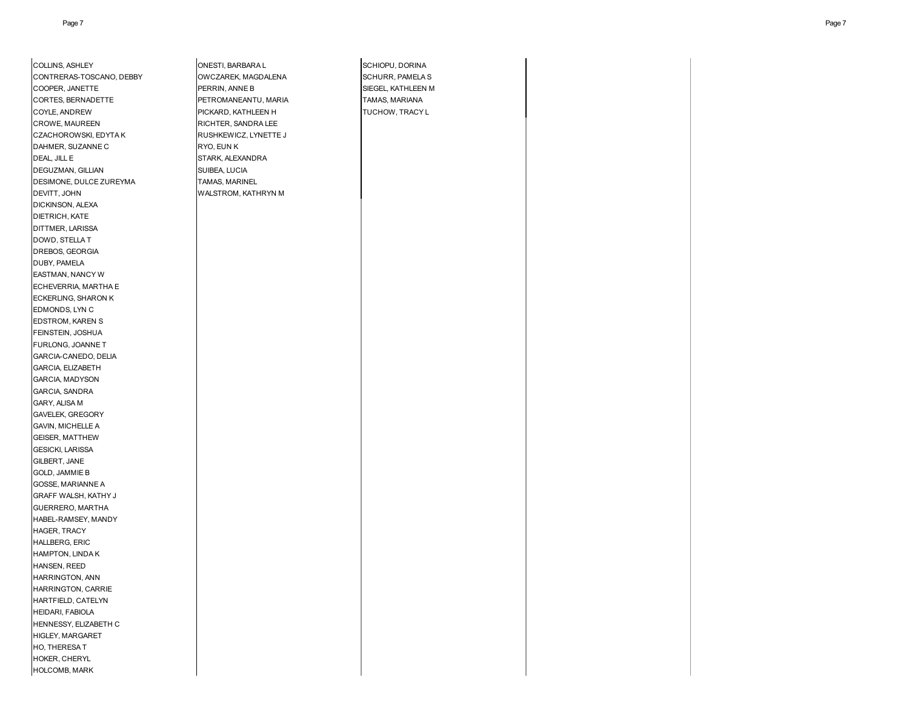| COLLINS, ASHLEY          | ONESTI, BARBARA L     | SCHIOPU, DORINA    |  |
|--------------------------|-----------------------|--------------------|--|
| CONTRERAS-TOSCANO, DEBBY | OWCZAREK, MAGDALENA   | SCHURR, PAMELA S   |  |
| COOPER, JANETTE          | PERRIN, ANNE B        | SIEGEL, KATHLEEN M |  |
| CORTES, BERNADETTE       | PETROMANEANTU, MARIA  | TAMAS, MARIANA     |  |
| COYLE, ANDREW            | PICKARD, KATHLEEN H   | TUCHOW, TRACY L    |  |
| <b>CROWE, MAUREEN</b>    | RICHTER, SANDRA LEE   |                    |  |
| CZACHOROWSKI, EDYTA K    | RUSHKEWICZ, LYNETTE J |                    |  |
| DAHMER, SUZANNE C        | RYO, EUN K            |                    |  |
| DEAL, JILL E             | STARK, ALEXANDRA      |                    |  |
| DEGUZMAN, GILLIAN        | SUIBEA, LUCIA         |                    |  |
| DESIMONE, DULCE ZUREYMA  | TAMAS, MARINEL        |                    |  |
| DEVITT, JOHN             | WALSTROM, KATHRYN M   |                    |  |
| DICKINSON, ALEXA         |                       |                    |  |
|                          |                       |                    |  |
| DIETRICH, KATE           |                       |                    |  |
| DITTMER, LARISSA         |                       |                    |  |
| DOWD, STELLA T           |                       |                    |  |
| DREBOS, GEORGIA          |                       |                    |  |
| DUBY, PAMELA             |                       |                    |  |
| EASTMAN, NANCY W         |                       |                    |  |
| ECHEVERRIA, MARTHA E     |                       |                    |  |
| ECKERLING, SHARON K      |                       |                    |  |
| EDMONDS, LYN C           |                       |                    |  |
| EDSTROM, KAREN S         |                       |                    |  |
| FEINSTEIN, JOSHUA        |                       |                    |  |
| FURLONG, JOANNE T        |                       |                    |  |
| GARCIA-CANEDO, DELIA     |                       |                    |  |
| GARCIA, ELIZABETH        |                       |                    |  |
| GARCIA, MADYSON          |                       |                    |  |
| GARCIA, SANDRA           |                       |                    |  |
| GARY, ALISA M            |                       |                    |  |
| GAVELEK, GREGORY         |                       |                    |  |
| GAVIN, MICHELLE A        |                       |                    |  |
| <b>GEISER, MATTHEW</b>   |                       |                    |  |
| <b>GESICKI, LARISSA</b>  |                       |                    |  |
| GILBERT, JANE            |                       |                    |  |
| <b>GOLD, JAMMIE B</b>    |                       |                    |  |
| GOSSE, MARIANNE A        |                       |                    |  |
| GRAFF WALSH, KATHY J     |                       |                    |  |
| GUERRERO, MARTHA         |                       |                    |  |
| HABEL-RAMSEY, MANDY      |                       |                    |  |
| HAGER, TRACY             |                       |                    |  |
| <b>HALLBERG, ERIC</b>    |                       |                    |  |
| HAMPTON, LINDA K         |                       |                    |  |
| HANSEN, REED             |                       |                    |  |
| <b>HARRINGTON, ANN</b>   |                       |                    |  |
| HARRINGTON, CARRIE       |                       |                    |  |
| HARTFIELD, CATELYN       |                       |                    |  |
| <b>HEIDARI, FABIOLA</b>  |                       |                    |  |
| HENNESSY, ELIZABETH C    |                       |                    |  |
| HIGLEY, MARGARET         |                       |                    |  |
| HO, THERESA T            |                       |                    |  |
| HOKER, CHERYL            |                       |                    |  |
| <b>HOLCOMB, MARK</b>     |                       |                    |  |
|                          |                       |                    |  |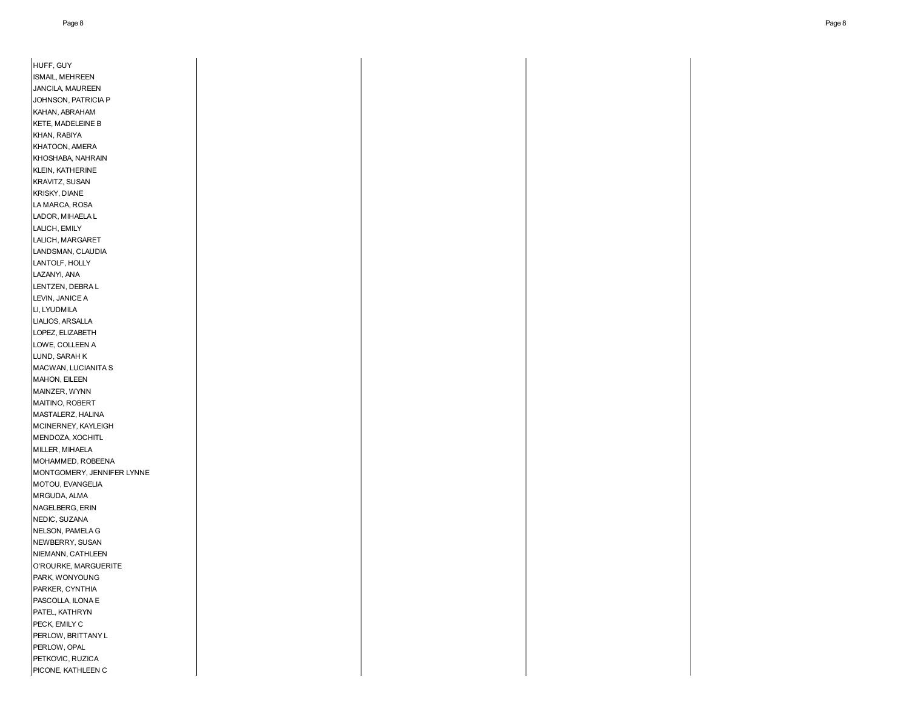| HUFF, GUY                  |  |  |
|----------------------------|--|--|
| ISMAIL, MEHREEN            |  |  |
| JANCILA, MAUREEN           |  |  |
| JOHNSON, PATRICIA P        |  |  |
| KAHAN, ABRAHAM             |  |  |
| <b>KETE, MADELEINE B</b>   |  |  |
| KHAN, RABIYA               |  |  |
| KHATOON, AMERA             |  |  |
| KHOSHABA, NAHRAIN          |  |  |
| KLEIN, KATHERINE           |  |  |
| <b>KRAVITZ, SUSAN</b>      |  |  |
| <b>KRISKY, DIANE</b>       |  |  |
| LA MARCA, ROSA             |  |  |
| LADOR, MIHAELA L           |  |  |
| LALICH, EMILY              |  |  |
| LALICH, MARGARET           |  |  |
| LANDSMAN, CLAUDIA          |  |  |
| LANTOLF, HOLLY             |  |  |
| LAZANYI, ANA               |  |  |
| LENTZEN, DEBRA L           |  |  |
| LEVIN, JANICE A            |  |  |
| LI, LYUDMILA               |  |  |
| LIALIOS, ARSALLA           |  |  |
| LOPEZ, ELIZABETH           |  |  |
|                            |  |  |
| LOWE, COLLEEN A            |  |  |
| LUND, SARAH K              |  |  |
| MACWAN, LUCIANITA S        |  |  |
| <b>MAHON, EILEEN</b>       |  |  |
| MAINZER, WYNN              |  |  |
| MAITINO, ROBERT            |  |  |
| MASTALERZ, HALINA          |  |  |
| MCINERNEY, KAYLEIGH        |  |  |
| MENDOZA, XOCHITL           |  |  |
| MILLER, MIHAELA            |  |  |
| MOHAMMED, ROBEENA          |  |  |
| MONTGOMERY, JENNIFER LYNNE |  |  |
| MOTOU, EVANGELIA           |  |  |
| MRGUDA, ALMA               |  |  |
| NAGELBERG, ERIN            |  |  |
| NEDIC, SUZANA              |  |  |
| NELSON, PAMELA G           |  |  |
| NEWBERRY, SUSAN            |  |  |
| NIEMANN, CATHLEEN          |  |  |
| O'ROURKE, MARGUERITE       |  |  |
| PARK, WONYOUNG             |  |  |
| PARKER, CYNTHIA            |  |  |
| PASCOLLA, ILONA E          |  |  |
| PATEL, KATHRYN             |  |  |
| PECK, EMILY C              |  |  |
| PERLOW, BRITTANY L         |  |  |
|                            |  |  |
| PERLOW, OPAL               |  |  |
| PETKOVIC, RUZICA           |  |  |
| PICONE, KATHLEEN C         |  |  |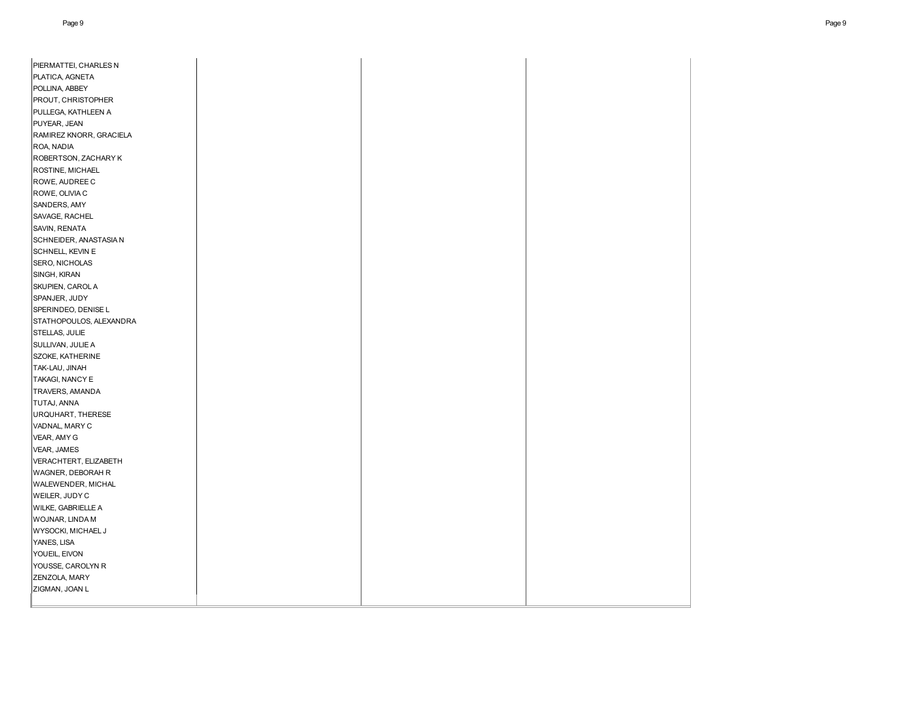| PIERMATTEI, CHARLES N                      |  |  |
|--------------------------------------------|--|--|
| PLATICA, AGNETA                            |  |  |
| POLLINA, ABBEY                             |  |  |
| PROUT, CHRISTOPHER                         |  |  |
| PULLEGA, KATHLEEN A                        |  |  |
| PUYEAR, JEAN                               |  |  |
| RAMIREZ KNORR, GRACIELA                    |  |  |
| ROA, NADIA                                 |  |  |
| ROBERTSON, ZACHARY K                       |  |  |
| ROSTINE, MICHAEL                           |  |  |
| ROWE, AUDREE C                             |  |  |
| ROWE, OLIVIA C                             |  |  |
| SANDERS, AMY                               |  |  |
| SAVAGE, RACHEL                             |  |  |
| SAVIN, RENATA                              |  |  |
| SCHNEIDER, ANASTASIA N                     |  |  |
| SCHNELL, KEVIN E                           |  |  |
| SERO, NICHOLAS                             |  |  |
| SINGH, KIRAN                               |  |  |
| SKUPIEN, CAROL A                           |  |  |
| SPANJER, JUDY                              |  |  |
| SPERINDEO, DENISE L                        |  |  |
| STATHOPOULOS, ALEXANDRA                    |  |  |
| STELLAS, JULIE                             |  |  |
| SULLIVAN, JULIE A                          |  |  |
| SZOKE, KATHERINE                           |  |  |
| TAK-LAU, JINAH                             |  |  |
| TAKAGI, NANCY E                            |  |  |
| TRAVERS, AMANDA                            |  |  |
| TUTAJ, ANNA                                |  |  |
| URQUHART, THERESE                          |  |  |
| VADNAL, MARY C                             |  |  |
| VEAR, AMY G                                |  |  |
| VEAR, JAMES                                |  |  |
| VERACHTERT, ELIZABETH<br>WAGNER, DEBORAH R |  |  |
| WALEWENDER, MICHAL                         |  |  |
| WEILER, JUDY C                             |  |  |
| WILKE, GABRIELLE A                         |  |  |
| WOJNAR, LINDA M                            |  |  |
| WYSOCKI, MICHAEL J                         |  |  |
| YANES, LISA                                |  |  |
| YOUEIL, EIVON                              |  |  |
| YOUSSE, CAROLYN R                          |  |  |
| ZENZOLA, MARY                              |  |  |
| ZIGMAN, JOAN L                             |  |  |
|                                            |  |  |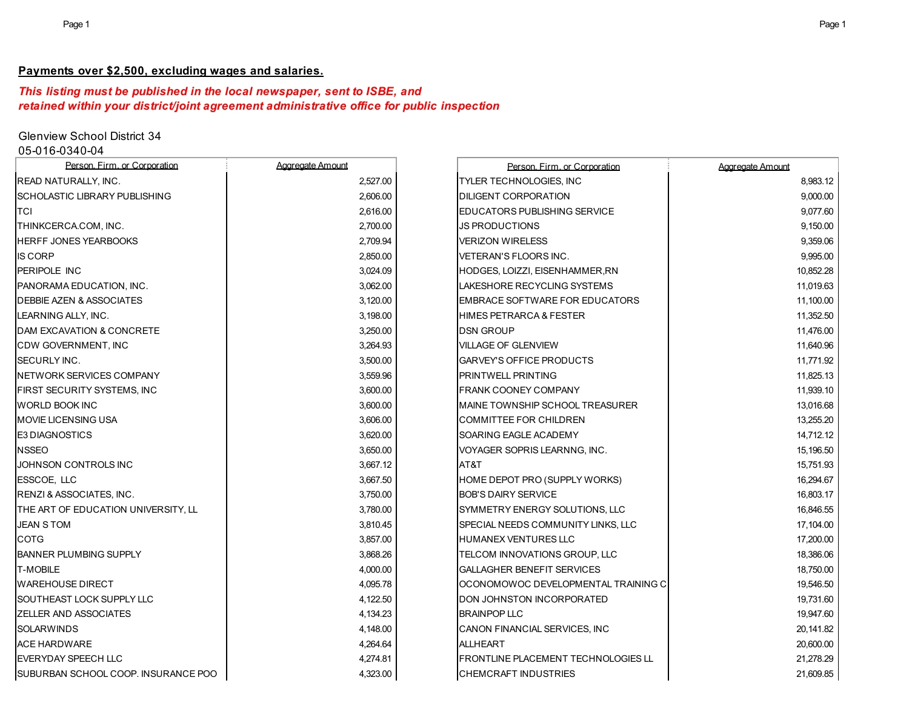# **Payments over \$2,500, excluding wages and salaries.**

# *This listing must be published in the local newspaper, sent to ISBE, and retained within your district/joint agreement administrative office for public inspection*

# Glenview School District 34

05-016-0340-04

| Person. Firm. or Corporation         | Aggregate Amount | Person, Firm, or Corporation        | Aggregate Amount |
|--------------------------------------|------------------|-------------------------------------|------------------|
| <b>READ NATURALLY, INC.</b>          | 2,527.00         | TYLER TECHNOLOGIES, INC             | 8,983.12         |
| SCHOLASTIC LIBRARY PUBLISHING        | 2.606.00         | <b>DILIGENT CORPORATION</b>         | 9,000.00         |
| TCI                                  | 2,616.00         | EDUCATORS PUBLISHING SERVICE        | 9,077.60         |
| THINKCERCA.COM, INC.                 | 2,700.00         | <b>JS PRODUCTIONS</b>               | 9,150.00         |
| <b>HERFF JONES YEARBOOKS</b>         | 2.709.94         | <b>VERIZON WIRELESS</b>             | 9,359.06         |
| <b>IS CORP</b>                       | 2,850.00         | VETERAN'S FLOORS INC.               | 9,995.00         |
| <b>PERIPOLE INC</b>                  | 3,024.09         | HODGES, LOIZZI, EISENHAMMER, RN     | 10,852.28        |
| PANORAMA EDUCATION, INC.             | 3,062.00         | LAKESHORE RECYCLING SYSTEMS         | 11,019.63        |
| <b>DEBBIE AZEN &amp; ASSOCIATES</b>  | 3,120.00         | EMBRACE SOFTWARE FOR EDUCATORS      | 11,100.00        |
| LEARNING ALLY, INC.                  | 3,198.00         | <b>HIMES PETRARCA &amp; FESTER</b>  | 11,352.50        |
| DAM EXCAVATION & CONCRETE            | 3,250.00         | <b>DSN GROUP</b>                    | 11,476.00        |
| CDW GOVERNMENT, INC                  | 3,264.93         | <b>VILLAGE OF GLENVIEW</b>          | 11,640.96        |
| <b>SECURLY INC.</b>                  | 3,500.00         | GARVEY'S OFFICE PRODUCTS            | 11,771.92        |
| NETWORK SERVICES COMPANY             | 3,559.96         | <b>PRINTWELL PRINTING</b>           | 11,825.13        |
| FIRST SECURITY SYSTEMS, INC          | 3,600.00         | <b>FRANK COONEY COMPANY</b>         | 11,939.10        |
| <b>WORLD BOOK INC</b>                | 3,600.00         | MAINE TOWNSHIP SCHOOL TREASURER     | 13,016.68        |
| <b>MOVIE LICENSING USA</b>           | 3,606.00         | <b>COMMITTEE FOR CHILDREN</b>       | 13,255.20        |
| <b>E3 DIAGNOSTICS</b>                | 3,620.00         | SOARING EAGLE ACADEMY               | 14,712.12        |
| <b>NSSEO</b>                         | 3,650.00         | VOYAGER SOPRIS LEARNNG, INC.        | 15,196.50        |
| JOHNSON CONTROLS INC                 | 3,667.12         | AT&T                                | 15,751.93        |
| <b>ESSCOE, LLC</b>                   | 3,667.50         | HOME DEPOT PRO (SUPPLY WORKS)       | 16,294.67        |
| RENZI & ASSOCIATES, INC.             | 3,750.00         | <b>BOB'S DAIRY SERVICE</b>          | 16,803.17        |
| THE ART OF EDUCATION UNIVERSITY, LL  | 3,780.00         | SYMMETRY ENERGY SOLUTIONS, LLC      | 16,846.55        |
| <b>JEAN S TOM</b>                    | 3,810.45         | SPECIAL NEEDS COMMUNITY LINKS, LLC  | 17,104.00        |
| <b>COTG</b>                          | 3,857.00         | <b>HUMANEX VENTURES LLC</b>         | 17,200.00        |
| <b>BANNER PLUMBING SUPPLY</b>        | 3,868.26         | TELCOM INNOVATIONS GROUP, LLC       | 18,386.06        |
| <b>T-MOBILE</b>                      | 4.000.00         | <b>GALLAGHER BENEFIT SERVICES</b>   | 18,750.00        |
| <b>WAREHOUSE DIRECT</b>              | 4,095.78         | OCONOMOWOC DEVELOPMENTAL TRAINING C | 19,546.50        |
| SOUTHEAST LOCK SUPPLY LLC            | 4,122.50         | DON JOHNSTON INCORPORATED           | 19,731.60        |
| <b>ZELLER AND ASSOCIATES</b>         | 4,134.23         | <b>BRAINPOP LLC</b>                 | 19,947.60        |
| <b>SOLARWINDS</b>                    | 4,148.00         | CANON FINANCIAL SERVICES, INC       | 20,141.82        |
| <b>ACE HARDWARE</b>                  | 4,264.64         | <b>ALLHEART</b>                     | 20,600.00        |
| <b>IEVERYDAY SPEECH LLC</b>          | 4,274.81         | FRONTLINE PLACEMENT TECHNOLOGIES LL | 21,278.29        |
| ISUBURBAN SCHOOL COOP. INSURANCE POO | 4,323.00         | <b>CHEMCRAFT INDUSTRIES</b>         | 21.609.85        |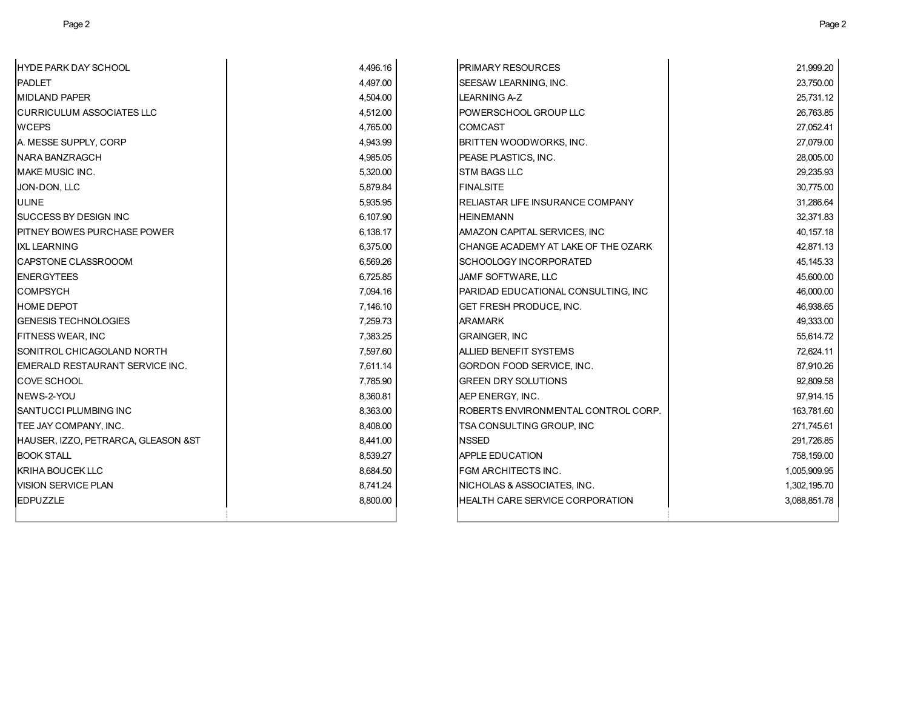| HYDE PARK DAY SCHOOL                | 4,496.16 | PRIMARY RESOURCES                   | 21,999.20    |
|-------------------------------------|----------|-------------------------------------|--------------|
| PADLET                              | 4,497.00 | <b>SEESAW LEARNING, INC.</b>        | 23,750.00    |
| MIDLAND PAPER                       | 4,504.00 | <b>LEARNING A-Z</b>                 | 25,731.12    |
| <b>CURRICULUM ASSOCIATES LLC</b>    | 4,512.00 | POWERSCHOOL GROUP LLC               | 26,763.85    |
| WCEPS                               | 4,765.00 | <b>COMCAST</b>                      | 27,052.41    |
| A. MESSE SUPPLY. CORP               | 4,943.99 | <b>BRITTEN WOODWORKS, INC.</b>      | 27,079.00    |
| NARA BANZRAGCH                      | 4,985.05 | <b>PEASE PLASTICS. INC.</b>         | 28,005.00    |
| MAKE MUSIC INC.                     | 5,320.00 | <b>STM BAGS LLC</b>                 | 29,235.93    |
| JON-DON, LLC                        | 5,879.84 | <b>FINALSITE</b>                    | 30,775.00    |
| ULINE                               | 5,935.95 | RELIASTAR LIFE INSURANCE COMPANY    | 31,286.64    |
| SUCCESS BY DESIGN INC               | 6,107.90 | <b>HEINEMANN</b>                    | 32,371.83    |
| PITNEY BOWES PURCHASE POWER         | 6,138.17 | AMAZON CAPITAL SERVICES, INC        | 40,157.18    |
| <b>IXL LEARNING</b>                 | 6,375.00 | CHANGE ACADEMY AT LAKE OF THE OZARK | 42,871.13    |
| CAPSTONE CLASSROOOM                 | 6,569.26 | <b>SCHOOLOGY INCORPORATED</b>       | 45,145.33    |
| <b>ENERGYTEES</b>                   | 6,725.85 | JAMF SOFTWARE, LLC                  | 45,600.00    |
| COMPSYCH                            | 7,094.16 | PARIDAD EDUCATIONAL CONSULTING, INC | 46,000.00    |
| <b>HOME DEPOT</b>                   | 7,146.10 | <b>GET FRESH PRODUCE, INC.</b>      | 46,938.65    |
| <b>GENESIS TECHNOLOGIES</b>         | 7,259.73 | <b>ARAMARK</b>                      | 49,333.00    |
| FITNESS WEAR, INC                   | 7,383.25 | <b>GRAINGER, INC</b>                | 55,614.72    |
| SONITROL CHICAGOLAND NORTH          | 7,597.60 | <b>ALLIED BENEFIT SYSTEMS</b>       | 72,624.11    |
| EMERALD RESTAURANT SERVICE INC.     | 7,611.14 | GORDON FOOD SERVICE, INC.           | 87,910.26    |
| COVE SCHOOL                         | 7,785.90 | <b>GREEN DRY SOLUTIONS</b>          | 92,809.58    |
| NEWS-2-YOU                          | 8,360.81 | AEP ENERGY, INC.                    | 97,914.15    |
| SANTUCCI PLUMBING INC               | 8,363.00 | ROBERTS ENVIRONMENTAL CONTROL CORP. | 163,781.60   |
| TEE JAY COMPANY, INC.               | 8,408.00 | TSA CONSULTING GROUP, INC           | 271,745.61   |
| HAUSER, IZZO, PETRARCA, GLEASON &ST | 8,441.00 | <b>NSSED</b>                        | 291,726.85   |
| BOOK STALL                          | 8,539.27 | <b>APPLE EDUCATION</b>              | 758,159.00   |
| KRIHA BOUCEK LLC                    | 8,684.50 | <b>FGM ARCHITECTS INC.</b>          | 1,005,909.95 |
| VISION SERVICE PLAN                 | 8,741.24 | NICHOLAS & ASSOCIATES, INC.         | 1,302,195.70 |
| <b>EDPUZZLE</b>                     | 8,800.00 | HEALTH CARE SERVICE CORPORATION     | 3,088,851.78 |
|                                     |          |                                     |              |
|                                     |          |                                     |              |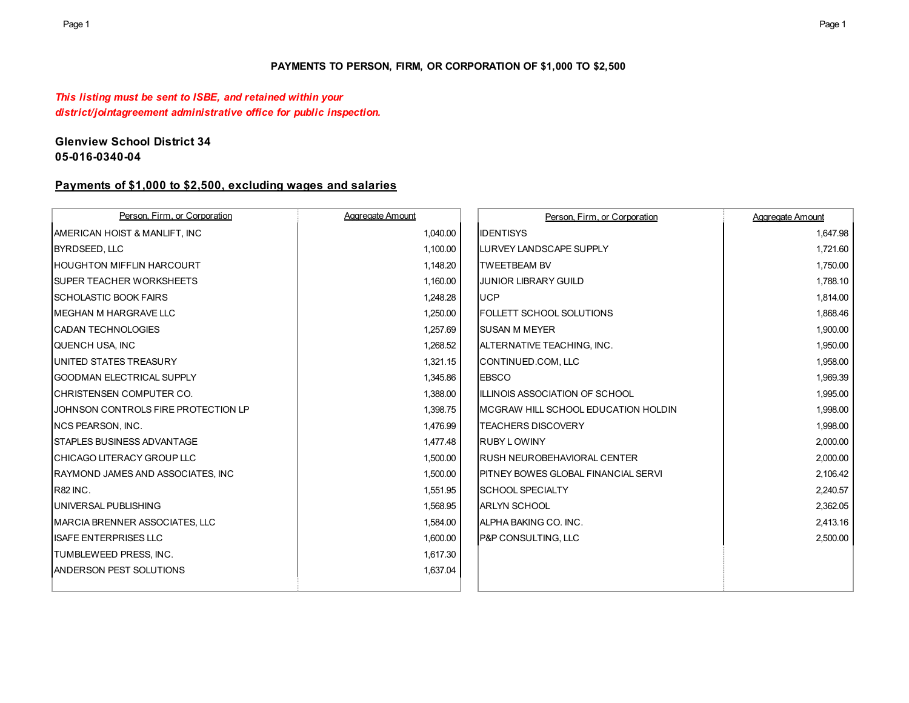## **PAYMENTS TO PERSON, FIRM, OR CORPORATION OF \$1,000 TO \$2,500**

# *This listing must be sent to ISBE, and retained within your district/jointagreement administrative office for public inspection.*

# **Glenview School District 34 05-016-0340-04**

# **Payments of \$1,000 to \$2,500, excluding wages and salaries**

| Person. Firm. or Corporation             | Aggregate Amount | Person. Firm. or Corporation                | Aggregate Amount |
|------------------------------------------|------------------|---------------------------------------------|------------------|
| <b>AMERICAN HOIST &amp; MANLIFT. INC</b> | 1,040.00         | <b>IDENTISYS</b>                            | 1,647.98         |
| <b>BYRDSEED, LLC</b>                     | 1,100.00         | LURVEY LANDSCAPE SUPPLY                     | 1,721.60         |
| <b>HOUGHTON MIFFLIN HARCOURT</b>         | 1,148.20         | <b>TWEETBEAM BV</b>                         | 1,750.00         |
| <b>SUPER TEACHER WORKSHEETS</b>          | 1,160.00         | <b>JUNIOR LIBRARY GUILD</b>                 | 1,788.10         |
| <b>ISCHOLASTIC BOOK FAIRS</b>            | 1,248.28         | <b>UCP</b>                                  | 1,814.00         |
| <b>MEGHAN M HARGRAVE LLC</b>             | 1,250.00         | <b>FOLLETT SCHOOL SOLUTIONS</b>             | 1,868.46         |
| <b>CADAN TECHNOLOGIES</b>                | 1,257.69         | <b>SUSAN M MEYER</b>                        | 1,900.00         |
| QUENCH USA, INC                          | 1,268.52         | ALTERNATIVE TEACHING, INC.                  | 1,950.00         |
| UNITED STATES TREASURY                   | 1,321.15         | CONTINUED.COM, LLC                          | 1,958.00         |
| <b>IGOODMAN ELECTRICAL SUPPLY</b>        | 1,345.86         | <b>IEBSCO</b>                               | 1,969.39         |
| <b>ICHRISTENSEN COMPUTER CO.</b>         | 1,388.00         | ILLINOIS ASSOCIATION OF SCHOOL              | 1,995.00         |
| JOHNSON CONTROLS FIRE PROTECTION LP      | 1,398.75         | MCGRAW HILL SCHOOL EDUCATION HOLDIN         | 1,998.00         |
| INCS PEARSON, INC.                       | 1,476.99         | <b>TEACHERS DISCOVERY</b>                   | 1,998.00         |
| <b>ISTAPLES BUSINESS ADVANTAGE</b>       | 1,477.48         | <b>RUBY LOWINY</b>                          | 2,000.00         |
| <b>ICHICAGO LITERACY GROUP LLC</b>       | 1,500.00         | <b>RUSH NEUROBEHAVIORAL CENTER</b>          | 2,000.00         |
| RAYMOND JAMES AND ASSOCIATES, INC.       | 1,500.00         | <b>IPITNEY BOWES GLOBAL FINANCIAL SERVI</b> | 2,106.42         |
| <b>R82 INC.</b>                          | 1,551.95         | <b>SCHOOL SPECIALTY</b>                     | 2,240.57         |
| UNIVERSAL PUBLISHING                     | 1,568.95         | <b>ARLYN SCHOOL</b>                         | 2,362.05         |
| MARCIA BRENNER ASSOCIATES, LLC           | 1,584.00         | ALPHA BAKING CO. INC.                       | 2,413.16         |
| <b>ISAFE ENTERPRISES LLC</b>             | 1,600.00         | <b>P&amp;P CONSULTING, LLC</b>              | 2,500.00         |
| TUMBLEWEED PRESS, INC.                   | 1,617.30         |                                             |                  |
| <b>ANDERSON PEST SOLUTIONS</b>           | 1,637.04         |                                             |                  |
|                                          |                  |                                             |                  |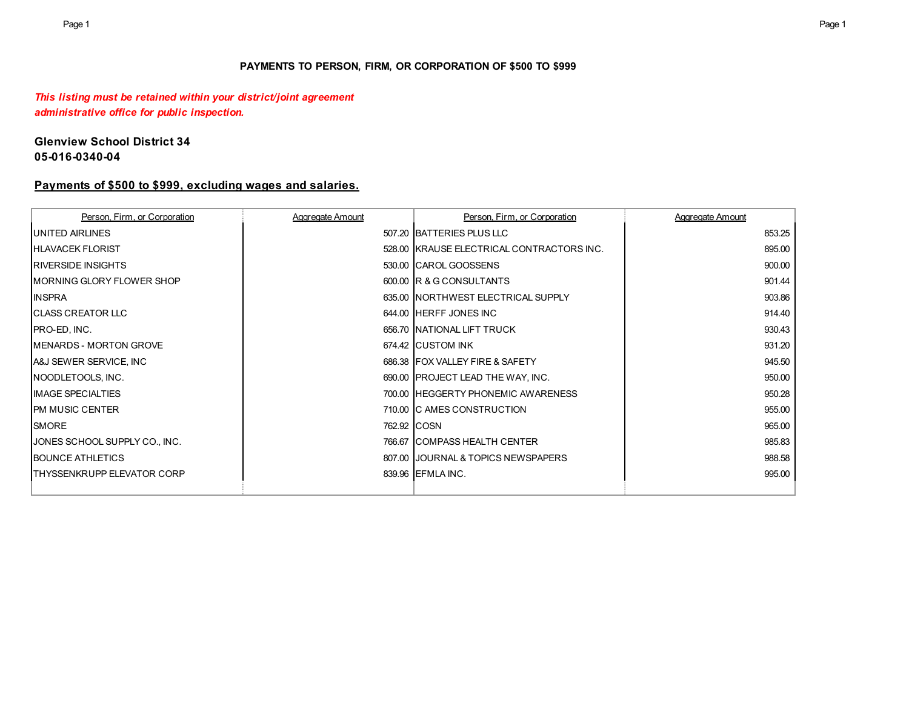## **PAYMENTS TO PERSON, FIRM, OR CORPORATION OF \$500 TO \$999**

# *This listing must be retained within your district/joint agreement administrative office for public inspection.*

# **Glenview School District 34 05-016-0340-04**

# **Payments of \$500 to \$999, excluding wages and salaries.**

| Person. Firm. or Corporation   | Aggregate Amount | Person. Firm. or Corporation              | Aggregate Amount |
|--------------------------------|------------------|-------------------------------------------|------------------|
| <b>UNITED AIRLINES</b>         |                  | 507.20 BATTERIES PLUS LLC                 | 853.25           |
| <b>HLAVACEK FLORIST</b>        |                  | 528.00 KRAUSE ELECTRICAL CONTRACTORS INC. | 895.00           |
| <b>IRIVERSIDE INSIGHTS</b>     |                  | 530.00 CAROL GOOSSENS                     | 900.00           |
| IMORNING GLORY FLOWER SHOP     |                  | 600.00 R & G CONSULTANTS                  | 901.44           |
| <b>INSPRA</b>                  |                  | 635.00 INORTHWEST ELECTRICAL SUPPLY       | 903.86           |
| <b>ICLASS CREATOR LLC</b>      |                  | 644.00 HERFF JONES INC                    | 914.40           |
| PRO-ED, INC.                   |                  | 656.70 INATIONAL LIFT TRUCK               | 930.43           |
| <b>IMENARDS - MORTON GROVE</b> |                  | 674.42 CUSTOM INK                         | 931.20           |
| A&J SEWER SERVICE, INC         |                  | 686.38 IFOX VALLEY FIRE & SAFETY          | 945.50           |
| NOODLETOOLS, INC.              |                  | 690.00 PROJECT LEAD THE WAY, INC.         | 950.00           |
| <b>IMAGE SPECIALTIES</b>       |                  | 700.00 IHEGGERTY PHONEMIC AWARENESS       | 950.28           |
| <b>IPM MUSIC CENTER</b>        |                  | 710.00 IC AMES CONSTRUCTION               | 955.00           |
| <b>SMORE</b>                   |                  | 762.92 COSN                               | 965.00           |
| JONES SCHOOL SUPPLY CO., INC.  |                  | 766.67 ICOMPASS HEALTH CENTER             | 985.83           |
| <b>BOUNCE ATHLETICS</b>        |                  | 807.00 JJOURNAL & TOPICS NEWSPAPERS       | 988.58           |
| THYSSENKRUPP ELEVATOR CORP     |                  | 839.96 EFMLA INC.                         | 995.00           |
|                                |                  |                                           |                  |